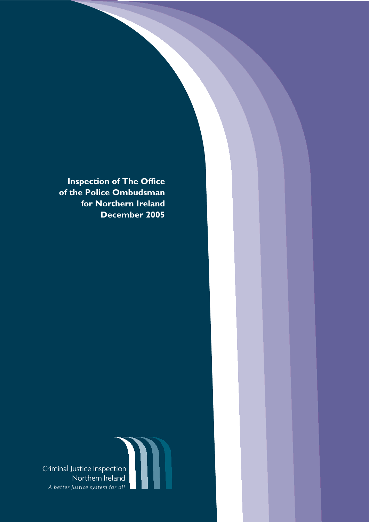**Inspection of The Office of the Police Ombudsman for Northern Ireland December 2005**

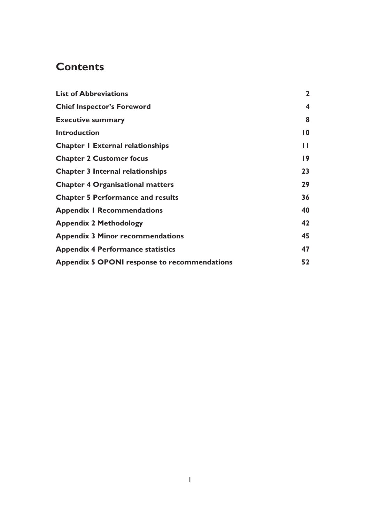# **Contents**

| <b>List of Abbreviations</b>                        | $\mathbf{2}$    |
|-----------------------------------------------------|-----------------|
| <b>Chief Inspector's Foreword</b>                   | 4               |
| <b>Executive summary</b>                            | 8               |
| <b>Introduction</b>                                 | $\overline{10}$ |
| <b>Chapter I External relationships</b>             | ш               |
| <b>Chapter 2 Customer focus</b>                     | $\overline{19}$ |
| <b>Chapter 3 Internal relationships</b>             | 23              |
| <b>Chapter 4 Organisational matters</b>             | 29              |
| <b>Chapter 5 Performance and results</b>            | 36              |
| <b>Appendix I Recommendations</b>                   | 40              |
| <b>Appendix 2 Methodology</b>                       | 42              |
| <b>Appendix 3 Minor recommendations</b>             | 45              |
| <b>Appendix 4 Performance statistics</b>            | 47              |
| <b>Appendix 5 OPONI response to recommendations</b> | 52              |
|                                                     |                 |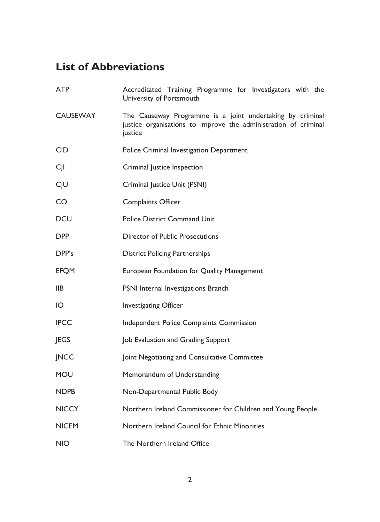# **List of Abbreviations**

| <b>ATP</b>      | Accreditated Training Programme for Investigators with the<br>University of Portsmouth                                                  |
|-----------------|-----------------------------------------------------------------------------------------------------------------------------------------|
| <b>CAUSEWAY</b> | The Causeway Programme is a joint undertaking by criminal<br>justice organisations to improve the administration of criminal<br>justice |
| <b>CID</b>      | Police Criminal Investigation Department                                                                                                |
| CJI             | Criminal Justice Inspection                                                                                                             |
| CJU             | Criminal Justice Unit (PSNI)                                                                                                            |
| <b>CO</b>       | <b>Complaints Officer</b>                                                                                                               |
| <b>DCU</b>      | <b>Police District Command Unit</b>                                                                                                     |
| <b>DPP</b>      | <b>Director of Public Prosecutions</b>                                                                                                  |
| DPP's           | <b>District Policing Partnerships</b>                                                                                                   |
| <b>EFQM</b>     | European Foundation for Quality Management                                                                                              |
| IIB             | PSNI Internal Investigations Branch                                                                                                     |
| IO              | <b>Investigating Officer</b>                                                                                                            |
| <b>IPCC</b>     | Independent Police Complaints Commission                                                                                                |
| JEGS            | Job Evaluation and Grading Support                                                                                                      |
| <b>JNCC</b>     | Joint Negotiating and Consultative Committee                                                                                            |
| <b>MOU</b>      | Memorandum of Understanding                                                                                                             |
| <b>NDPB</b>     | Non-Departmental Public Body                                                                                                            |
| <b>NICCY</b>    | Northern Ireland Commissioner for Children and Young People                                                                             |
| <b>NICEM</b>    | Northern Ireland Council for Ethnic Minorities                                                                                          |
| <b>NIO</b>      | The Northern Ireland Office                                                                                                             |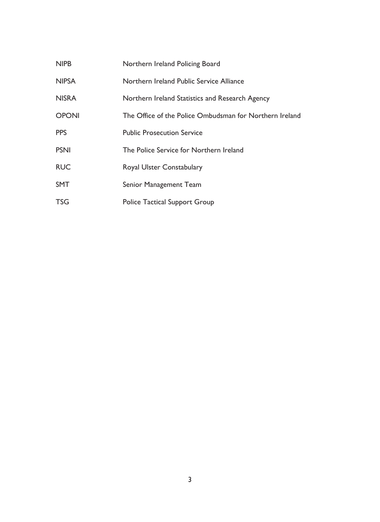| <b>NIPB</b>  | Northern Ireland Policing Board                         |
|--------------|---------------------------------------------------------|
| <b>NIPSA</b> | Northern Ireland Public Service Alliance                |
| <b>NISRA</b> | Northern Ireland Statistics and Research Agency         |
| <b>OPONI</b> | The Office of the Police Ombudsman for Northern Ireland |
| <b>PPS</b>   | <b>Public Prosecution Service</b>                       |
| <b>PSNI</b>  | The Police Service for Northern Ireland                 |
| <b>RUC</b>   | <b>Royal Ulster Constabulary</b>                        |
| <b>SMT</b>   | Senior Management Team                                  |
| <b>TSG</b>   | <b>Police Tactical Support Group</b>                    |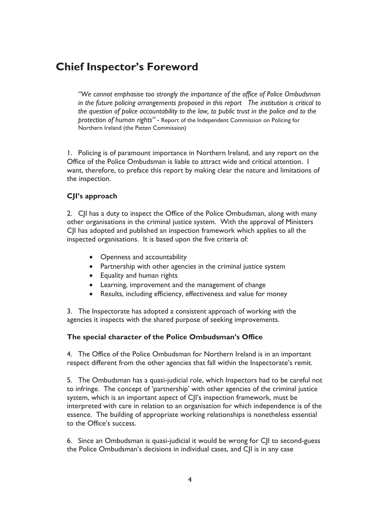### **Chief Inspector's Foreword**

"We cannot emphasise too strongly the importance of the office of Police Ombudsman in the future policing arrangements proposed in this report The institution is critical to the question of police accountability to the law, to public trust in the police and to the protection of human rights" - Report of the Independent Commission on Policing for Northern Ireland (the Patten Commission)

1. Policing is of paramount importance in Northern Ireland, and any report on the Office of the Police Ombudsman is liable to attract wide and critical attention. I want, therefore, to preface this report by making clear the nature and limitations of the inspection.

### CJI's approach

2. C|I has a duty to inspect the Office of the Police Ombudsman, along with many other organisations in the criminal justice system. With the approval of Ministers CII has adopted and published an inspection framework which applies to all the inspected organisations. It is based upon the five criteria of:

- Openness and accountability
- Partnership with other agencies in the criminal justice system
- Equality and human rights
- Learning, improvement and the management of change
- Results, including efficiency, effectiveness and value for money

3. The Inspectorate has adopted a consistent approach of working with the agencies it inspects with the shared purpose of seeking improvements.

### The special character of the Police Ombudsman's Office

4. The Office of the Police Ombudsman for Northern Ireland is in an important respect different from the other agencies that fall within the Inspectorate's remit.

5. The Ombudsman has a quasi-judicial role, which Inspectors had to be careful not to infringe. The concept of 'partnership' with other agencies of the criminal justice system, which is an important aspect of C|I's inspection framework, must be interpreted with care in relation to an organisation for which independence is of the essence. The building of appropriate working relationships is nonetheless essential to the Office's success.

6. Since an Ombudsman is quasi-judicial it would be wrong for C|I to second-guess the Police Ombudsman's decisions in individual cases, and CJI is in any case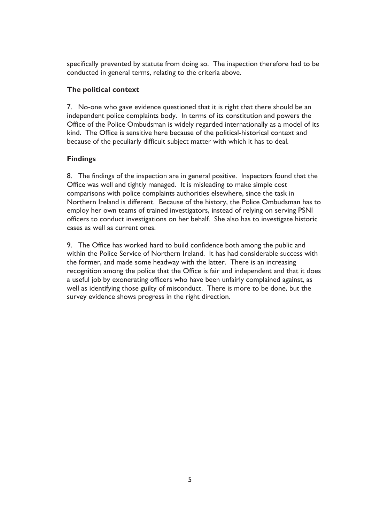specifically prevented by statute from doing so. The inspection therefore had to be conducted in general terms, relating to the criteria above.

### The political context

7. No-one who gave evidence questioned that it is right that there should be an independent police complaints body. In terms of its constitution and powers the Office of the Police Ombudsman is widely regarded internationally as a model of its kind. The Office is sensitive here because of the political-historical context and because of the peculiarly difficult subject matter with which it has to deal.

### **Findings**

8. The findings of the inspection are in general positive. Inspectors found that the Office was well and tightly managed. It is misleading to make simple cost comparisons with police complaints authorities elsewhere, since the task in Northern Ireland is different. Because of the history, the Police Ombudsman has to employ her own teams of trained investigators, instead of relying on serving PSNI officers to conduct investigations on her behalf. She also has to investigate historic cases as well as current ones.

9. The Office has worked hard to build confidence both among the public and within the Police Service of Northern Ireland. It has had considerable success with the former, and made some headway with the latter. There is an increasing recognition among the police that the Office is fair and independent and that it does a useful job by exonerating officers who have been unfairly complained against, as well as identifying those guilty of misconduct. There is more to be done, but the survey evidence shows progress in the right direction.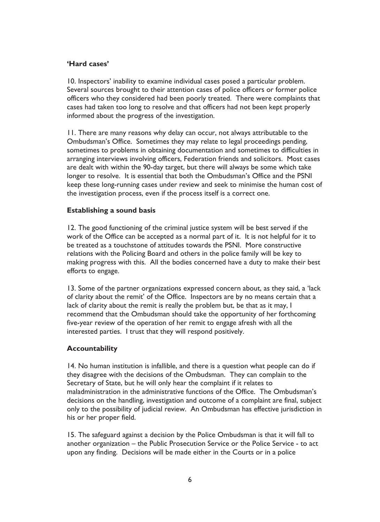### 'Hard cases'

10. Inspectors' inability to examine individual cases posed a particular problem. Several sources brought to their attention cases of police officers or former police officers who they considered had been poorly treated. There were complaints that cases had taken too long to resolve and that officers had not been kept properly informed about the progress of the investigation.

11. There are many reasons why delay can occur, not always attributable to the Ombudsman's Office. Sometimes they may relate to legal proceedings pending, sometimes to problems in obtaining documentation and sometimes to difficulties in arranging interviews involving officers, Federation friends and solicitors. Most cases are dealt with within the 90-day target, but there will always be some which take longer to resolve. It is essential that both the Ombudsman's Office and the PSNI keep these long-running cases under review and seek to minimise the human cost of the investigation process, even if the process itself is a correct one.

### **Establishing a sound basis**

12. The good functioning of the criminal justice system will be best served if the work of the Office can be accepted as a normal part of it. It is not helpful for it to be treated as a touchstone of attitudes towards the PSNI. More constructive relations with the Policing Board and others in the police family will be key to making progress with this. All the bodies concerned have a duty to make their best efforts to engage.

13. Some of the partner organizations expressed concern about, as they said, a 'lack of clarity about the remit' of the Office. Inspectors are by no means certain that a lack of clarity about the remit is really the problem but, be that as it may, I recommend that the Ombudsman should take the opportunity of her forthcoming five-year review of the operation of her remit to engage afresh with all the interested parties. I trust that they will respond positively.

### **Accountability**

14. No human institution is infallible, and there is a question what people can do if they disagree with the decisions of the Ombudsman. They can complain to the Secretary of State, but he will only hear the complaint if it relates to maladministration in the administrative functions of the Office. The Ombudsman's decisions on the handling, investigation and outcome of a complaint are final, subject only to the possibility of judicial review. An Ombudsman has effective jurisdiction in his or her proper field.

15. The safeguard against a decision by the Police Ombudsman is that it will fall to another organization - the Public Prosecution Service or the Police Service - to act upon any finding. Decisions will be made either in the Courts or in a police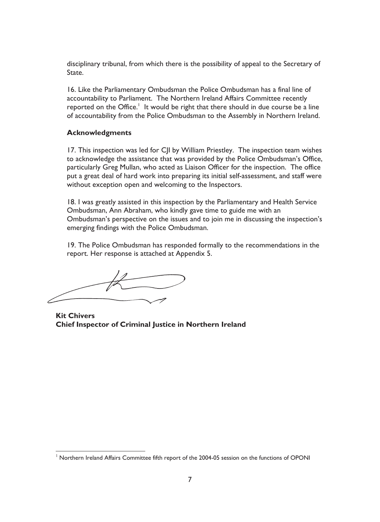disciplinary tribunal, from which there is the possibility of appeal to the Secretary of State.

16. Like the Parliamentary Ombudsman the Police Ombudsman has a final line of accountability to Parliament. The Northern Ireland Affairs Committee recently reported on the Office.<sup>1</sup> It would be right that there should in due course be a line of accountability from the Police Ombudsman to the Assembly in Northern Ireland.

### **Acknowledgments**

17. This inspection was led for CJI by William Priestley. The inspection team wishes to acknowledge the assistance that was provided by the Police Ombudsman's Office, particularly Greg Mullan, who acted as Liaison Officer for the inspection. The office put a great deal of hard work into preparing its initial self-assessment, and staff were without exception open and welcoming to the Inspectors.

18. I was greatly assisted in this inspection by the Parliamentary and Health Service Ombudsman, Ann Abraham, who kindly gave time to guide me with an Ombudsman's perspective on the issues and to join me in discussing the inspection's emerging findings with the Police Ombudsman.

19. The Police Ombudsman has responded formally to the recommendations in the report. Her response is attached at Appendix 5.

**Kit Chivers** Chief Inspector of Criminal Justice in Northern Ireland

<sup>&</sup>lt;sup>1</sup> Northern Ireland Affairs Committee fifth report of the 2004-05 session on the functions of OPONI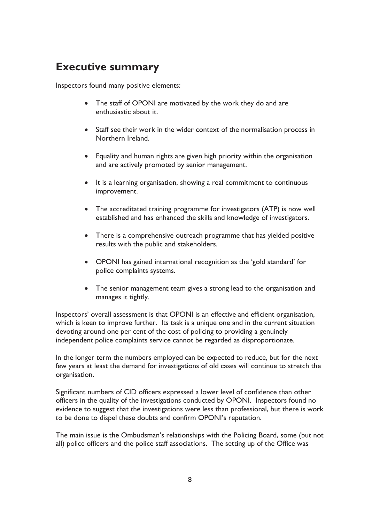## **Executive summary**

Inspectors found many positive elements:

- The staff of OPONI are motivated by the work they do and are enthusiastic about it.
- Staff see their work in the wider context of the normalisation process in Northern Ireland.
- Equality and human rights are given high priority within the organisation and are actively promoted by senior management.
- It is a learning organisation, showing a real commitment to continuous improvement.
- The accreditated training programme for investigators (ATP) is now well established and has enhanced the skills and knowledge of investigators.
- There is a comprehensive outreach programme that has yielded positive results with the public and stakeholders.
- OPONI has gained international recognition as the 'gold standard' for police complaints systems.
- The senior management team gives a strong lead to the organisation and manages it tightly.

Inspectors' overall assessment is that OPONI is an effective and efficient organisation, which is keen to improve further. Its task is a unique one and in the current situation devoting around one per cent of the cost of policing to providing a genuinely independent police complaints service cannot be regarded as disproportionate.

In the longer term the numbers employed can be expected to reduce, but for the next few years at least the demand for investigations of old cases will continue to stretch the organisation.

Significant numbers of CID officers expressed a lower level of confidence than other officers in the quality of the investigations conducted by OPONI. Inspectors found no evidence to suggest that the investigations were less than professional, but there is work to be done to dispel these doubts and confirm OPONI's reputation.

The main issue is the Ombudsman's relationships with the Policing Board, some (but not all) police officers and the police staff associations. The setting up of the Office was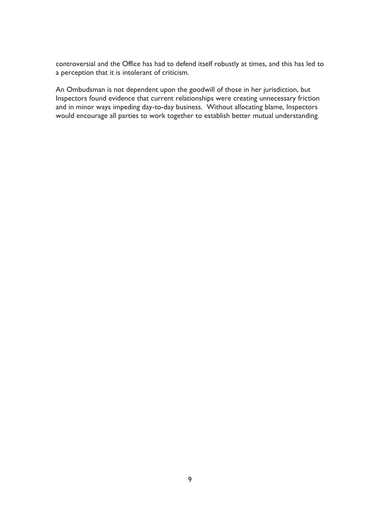controversial and the Office has had to defend itself robustly at times, and this has led to a perception that it is intolerant of criticism.

An Ombudsman is not dependent upon the goodwill of those in her jurisdiction, but Inspectors found evidence that current relationships were creating unnecessary friction and in minor ways impeding day-to-day business. Without allocating blame, Inspectors would encourage all parties to work together to establish better mutual understanding.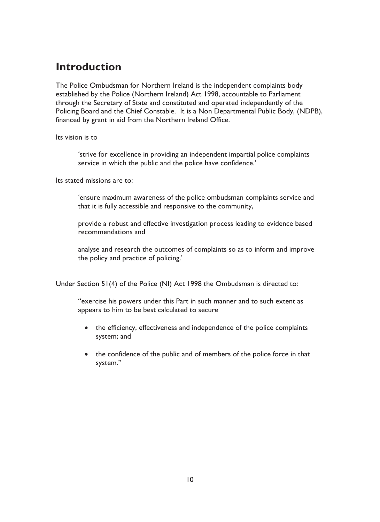### **Introduction**

The Police Ombudsman for Northern Ireland is the independent complaints body established by the Police (Northern Ireland) Act 1998, accountable to Parliament through the Secretary of State and constituted and operated independently of the Policing Board and the Chief Constable. It is a Non Departmental Public Body, (NDPB), financed by grant in aid from the Northern Ireland Office.

### Its vision is to

'strive for excellence in providing an independent impartial police complaints service in which the public and the police have confidence.'

Its stated missions are to:

'ensure maximum awareness of the police ombudsman complaints service and that it is fully accessible and responsive to the community,

provide a robust and effective investigation process leading to evidence based recommendations and

analyse and research the outcomes of complaints so as to inform and improve the policy and practice of policing.'

Under Section 51(4) of the Police (NI) Act 1998 the Ombudsman is directed to:

"exercise his powers under this Part in such manner and to such extent as appears to him to be best calculated to secure

- the efficiency, effectiveness and independence of the police complaints system: and
- the confidence of the public and of members of the police force in that system."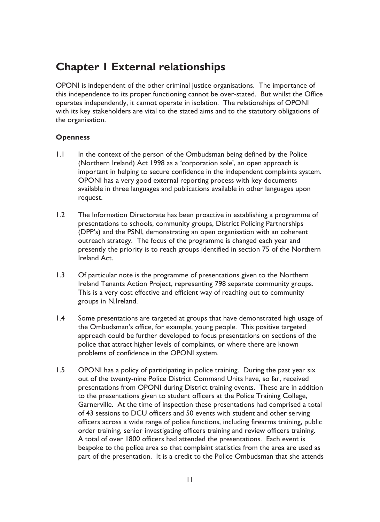## **Chapter I External relationships**

OPONI is independent of the other criminal justice organisations. The importance of this independence to its proper functioning cannot be over-stated. But whilst the Office operates independently, it cannot operate in isolation. The relationships of OPONI with its key stakeholders are vital to the stated aims and to the statutory obligations of the organisation.

### **Openness**

- $\overline{1}$ . In the context of the person of the Ombudsman being defined by the Police (Northern Ireland) Act 1998 as a 'corporation sole', an open approach is important in helping to secure confidence in the independent complaints system. OPONI has a very good external reporting process with key documents available in three languages and publications available in other languages upon request.
- $\overline{1}$ The Information Directorate has been proactive in establishing a programme of presentations to schools, community groups, District Policing Partnerships (DPP's) and the PSNI, demonstrating an open organisation with an coherent outreach strategy. The focus of the programme is changed each year and presently the priority is to reach groups identified in section 75 of the Northern Ireland Act
- $1.3$ Of particular note is the programme of presentations given to the Northern Ireland Tenants Action Project, representing 798 separate community groups. This is a very cost effective and efficient way of reaching out to community groups in N.Ireland.
- $\overline{1.4}$ Some presentations are targeted at groups that have demonstrated high usage of the Ombudsman's office, for example, young people. This positive targeted approach could be further developed to focus presentations on sections of the police that attract higher levels of complaints, or where there are known problems of confidence in the OPONI system.
- $1.5$ OPONI has a policy of participating in police training. During the past year six out of the twenty-nine Police District Command Units have, so far, received presentations from OPONI during District training events. These are in addition to the presentations given to student officers at the Police Training College, Garnerville. At the time of inspection these presentations had comprised a total of 43 sessions to DCU officers and 50 events with student and other serving officers across a wide range of police functions, including firearms training, public order training, senior investigating officers training and review officers training. A total of over 1800 officers had attended the presentations. Each event is bespoke to the police area so that complaint statistics from the area are used as part of the presentation. It is a credit to the Police Ombudsman that she attends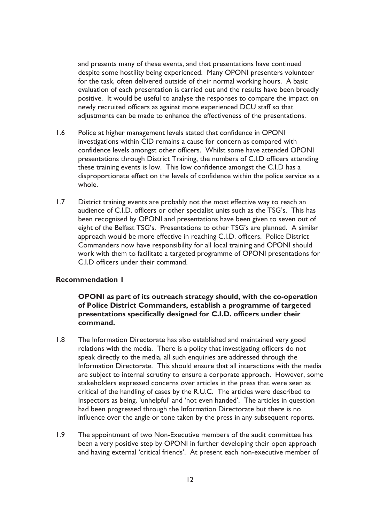and presents many of these events, and that presentations have continued despite some hostility being experienced. Many OPONI presenters volunteer for the task, often delivered outside of their normal working hours. A basic evaluation of each presentation is carried out and the results have been broadly positive. It would be useful to analyse the responses to compare the impact on newly recruited officers as against more experienced DCU staff so that adjustments can be made to enhance the effectiveness of the presentations.

- $1.6$ Police at higher management levels stated that confidence in OPONI investigations within CID remains a cause for concern as compared with confidence levels amongst other officers. Whilst some have attended OPONI presentations through District Training, the numbers of C.I.D officers attending these training events is low. This low confidence amongst the C.I.D has a disproportionate effect on the levels of confidence within the police service as a whole.
- $1.7$ District training events are probably not the most effective way to reach an audience of C.I.D. officers or other specialist units such as the TSG's. This has been recognised by OPONI and presentations have been given to seven out of eight of the Belfast TSG's. Presentations to other TSG's are planned. A similar approach would be more effective in reaching C.I.D. officers. Police District Commanders now have responsibility for all local training and OPONI should work with them to facilitate a targeted programme of OPONI presentations for C.L.D officers under their command.

### **Recommendation I**

OPONI as part of its outreach strategy should, with the co-operation of Police District Commanders, establish a programme of targeted presentations specifically designed for C.I.D. officers under their command.

- $1.8$ The Information Directorate has also established and maintained very good relations with the media. There is a policy that investigating officers do not speak directly to the media, all such enquiries are addressed through the Information Directorate. This should ensure that all interactions with the media are subject to internal scrutiny to ensure a corporate approach. However, some stakeholders expressed concerns over articles in the press that were seen as critical of the handling of cases by the R.U.C. The articles were described to Inspectors as being, 'unhelpful' and 'not even handed'. The articles in question had been progressed through the Information Directorate but there is no influence over the angle or tone taken by the press in any subsequent reports.
- $1.9$ The appointment of two Non-Executive members of the audit committee has been a very positive step by OPONI in further developing their open approach and having external 'critical friends'. At present each non-executive member of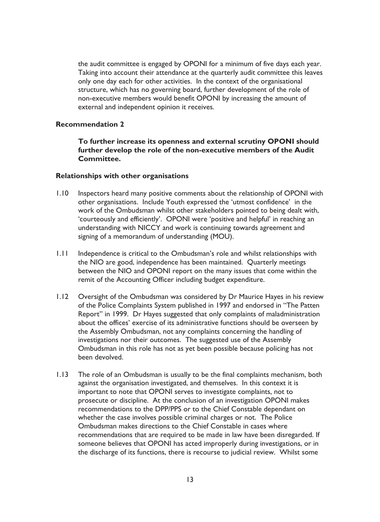the audit committee is engaged by OPONI for a minimum of five days each year. Taking into account their attendance at the quarterly audit committee this leaves only one day each for other activities. In the context of the organisational structure, which has no governing board, further development of the role of non-executive members would benefit OPONI by increasing the amount of external and independent opinion it receives.

### **Recommendation 2**

To further increase its openness and external scrutiny OPONI should further develop the role of the non-executive members of the Audit Committee.

#### Relationships with other organisations

- $1.10$ Inspectors heard many positive comments about the relationship of OPONI with other organisations. Include Youth expressed the 'utmost confidence' in the work of the Ombudsman whilst other stakeholders pointed to being dealt with, 'courteously and efficiently'. OPONI were 'positive and helpful' in reaching an understanding with NICCY and work is continuing towards agreement and signing of a memorandum of understanding (MOU).
- $1.11$ Independence is critical to the Ombudsman's role and whilst relationships with the NIO are good, independence has been maintained. Quarterly meetings between the NIO and OPONI report on the many issues that come within the remit of the Accounting Officer including budget expenditure.
- $1.12$ Oversight of the Ombudsman was considered by Dr Maurice Hayes in his review of the Police Complaints System published in 1997 and endorsed in "The Patten" Report" in 1999. Dr Hayes suggested that only complaints of maladministration about the offices' exercise of its administrative functions should be overseen by the Assembly Ombudsman, not any complaints concerning the handling of investigations nor their outcomes. The suggested use of the Assembly Ombudsman in this role has not as yet been possible because policing has not been devolved.
- $1.13$ The role of an Ombudsman is usually to be the final complaints mechanism, both against the organisation investigated, and themselves. In this context it is important to note that OPONI serves to investigate complaints, not to prosecute or discipline. At the conclusion of an investigation OPONI makes recommendations to the DPP/PPS or to the Chief Constable dependant on whether the case involves possible criminal charges or not. The Police Ombudsman makes directions to the Chief Constable in cases where recommendations that are required to be made in law have been disregarded. If someone believes that OPONI has acted improperly during investigations, or in the discharge of its functions, there is recourse to judicial review. Whilst some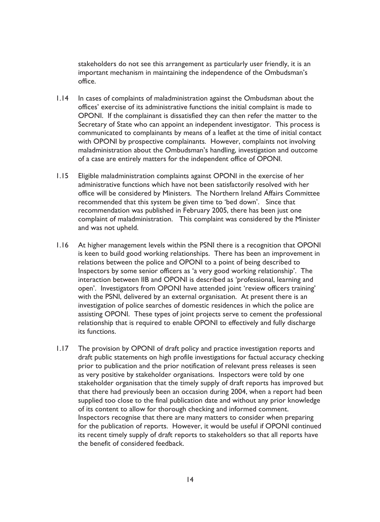stakeholders do not see this arrangement as particularly user friendly, it is an important mechanism in maintaining the independence of the Ombudsman's office.

- $1.14$ In cases of complaints of maladministration against the Ombudsman about the offices' exercise of its administrative functions the initial complaint is made to OPONI. If the complainant is dissatisfied they can then refer the matter to the Secretary of State who can appoint an independent investigator. This process is communicated to complainants by means of a leaflet at the time of initial contact with OPONI by prospective complainants. However, complaints not involving maladministration about the Ombudsman's handling, investigation and outcome of a case are entirely matters for the independent office of OPONI.
- $1.15$ Eligible maladministration complaints against OPONI in the exercise of her administrative functions which have not been satisfactorily resolved with her office will be considered by Ministers. The Northern Ireland Affairs Committee recommended that this system be given time to 'bed down'. Since that recommendation was published in February 2005, there has been just one complaint of maladministration. This complaint was considered by the Minister and was not upheld.
- $1.16$ At higher management levels within the PSNI there is a recognition that OPONI is keen to build good working relationships. There has been an improvement in relations between the police and OPONI to a point of being described to Inspectors by some senior officers as 'a very good working relationship'. The interaction between IIB and OPONI is described as 'professional, learning and open'. Investigators from OPONI have attended joint 'review officers training' with the PSNI, delivered by an external organisation. At present there is an investigation of police searches of domestic residences in which the police are assisting OPONI. These types of joint projects serve to cement the professional relationship that is required to enable OPONI to effectively and fully discharge its functions.
- $1.17$ The provision by OPONI of draft policy and practice investigation reports and draft public statements on high profile investigations for factual accuracy checking prior to publication and the prior notification of relevant press releases is seen as very positive by stakeholder organisations. Inspectors were told by one stakeholder organisation that the timely supply of draft reports has improved but that there had previously been an occasion during 2004, when a report had been supplied too close to the final publication date and without any prior knowledge of its content to allow for thorough checking and informed comment. Inspectors recognise that there are many matters to consider when preparing for the publication of reports. However, it would be useful if OPONI continued its recent timely supply of draft reports to stakeholders so that all reports have the benefit of considered feedback.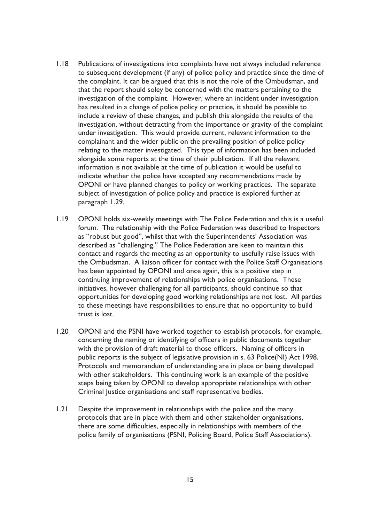- $1.18$ Publications of investigations into complaints have not always included reference to subsequent development (if any) of police policy and practice since the time of the complaint. It can be argued that this is not the role of the Ombudsman, and that the report should soley be concerned with the matters pertaining to the investigation of the complaint. However, where an incident under investigation has resulted in a change of police policy or practice, it should be possible to include a review of these changes, and publish this alongside the results of the investigation, without detracting from the importance or gravity of the complaint under investigation. This would provide current, relevant information to the complainant and the wider public on the prevailing position of police policy relating to the matter investigated. This type of information has been included alongside some reports at the time of their publication. If all the relevant information is not available at the time of publication it would be useful to indicate whether the police have accepted any recommendations made by OPONI or have planned changes to policy or working practices. The separate subject of investigation of police policy and practice is explored further at paragraph 1.29.
- $1.19$ OPONI holds six-weekly meetings with The Police Federation and this is a useful forum. The relationship with the Police Federation was described to Inspectors as "robust but good", whilst that with the Superintendents' Association was described as "challenging." The Police Federation are keen to maintain this contact and regards the meeting as an opportunity to usefully raise issues with the Ombudsman. A liaison officer for contact with the Police Staff Organisations has been appointed by OPONI and once again, this is a positive step in continuing improvement of relationships with police organisations. These initiatives, however challenging for all participants, should continue so that opportunities for developing good working relationships are not lost. All parties to these meetings have responsibilities to ensure that no opportunity to build trust is lost.
- $1.20$ OPONI and the PSNI have worked together to establish protocols, for example, concerning the naming or identifying of officers in public documents together with the provision of draft material to those officers. Naming of officers in public reports is the subject of legislative provision in s. 63 Police(NI) Act 1998. Protocols and memorandum of understanding are in place or being developed with other stakeholders. This continuing work is an example of the positive steps being taken by OPONI to develop appropriate relationships with other Criminal lustice organisations and staff representative bodies.
- $1.21$ Despite the improvement in relationships with the police and the many protocols that are in place with them and other stakeholder organisations, there are some difficulties, especially in relationships with members of the police family of organisations (PSNI, Policing Board, Police Staff Associations).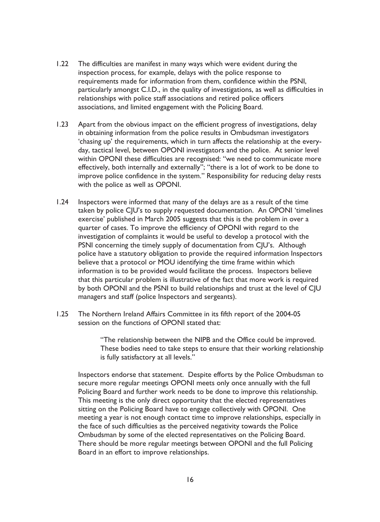- $1.22$ The difficulties are manifest in many ways which were evident during the inspection process, for example, delays with the police response to requirements made for information from them, confidence within the PSNI, particularly amongst C.I.D., in the quality of investigations, as well as difficulties in relationships with police staff associations and retired police officers associations, and limited engagement with the Policing Board.
- $1.23$ Apart from the obvious impact on the efficient progress of investigations, delay in obtaining information from the police results in Ombudsman investigators 'chasing up' the requirements, which in turn affects the relationship at the everyday, tactical level, between OPONI investigators and the police. At senior level within OPONI these difficulties are recognised: "we need to communicate more effectively, both internally and externally"; "there is a lot of work to be done to improve police confidence in the system." Responsibility for reducing delay rests with the police as well as OPONI.
- $1.24$ Inspectors were informed that many of the delays are as a result of the time taken by police CJU's to supply requested documentation. An OPONI 'timelines exercise' published in March 2005 suggests that this is the problem in over a quarter of cases. To improve the efficiency of OPONI with regard to the investigation of complaints it would be useful to develop a protocol with the PSNI concerning the timely supply of documentation from CJU's. Although police have a statutory obligation to provide the required information Inspectors believe that a protocol or MOU identifying the time frame within which information is to be provided would facilitate the process. Inspectors believe that this particular problem is illustrative of the fact that more work is required by both OPONI and the PSNI to build relationships and trust at the level of CJU managers and staff (police Inspectors and sergeants).
- $1.25$ The Northern Ireland Affairs Committee in its fifth report of the 2004-05 session on the functions of OPONI stated that:

"The relationship between the NIPB and the Office could be improved. These bodies need to take steps to ensure that their working relationship is fully satisfactory at all levels."

Inspectors endorse that statement. Despite efforts by the Police Ombudsman to secure more regular meetings OPONI meets only once annually with the full Policing Board and further work needs to be done to improve this relationship. This meeting is the only direct opportunity that the elected representatives sitting on the Policing Board have to engage collectively with OPONI. One meeting a year is not enough contact time to improve relationships, especially in the face of such difficulties as the perceived negativity towards the Police Ombudsman by some of the elected representatives on the Policing Board. There should be more regular meetings between OPONI and the full Policing Board in an effort to improve relationships.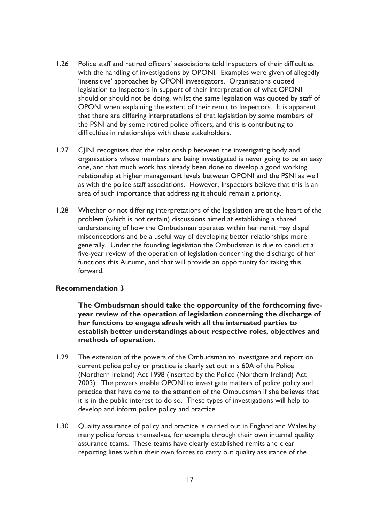- $1.26$ Police staff and retired officers' associations told Inspectors of their difficulties with the handling of investigations by OPONI. Examples were given of allegedly 'insensitive' approaches by OPONI investigators. Organisations quoted legislation to Inspectors in support of their interpretation of what OPONI should or should not be doing, whilst the same legislation was quoted by staff of OPONI when explaining the extent of their remit to Inspectors. It is apparent that there are differing interpretations of that legislation by some members of the PSNI and by some retired police officers, and this is contributing to difficulties in relationships with these stakeholders.
- $1.27$ CIINI recognises that the relationship between the investigating body and organisations whose members are being investigated is never going to be an easy one, and that much work has already been done to develop a good working relationship at higher management levels between OPONI and the PSNI as well as with the police staff associations. However, Inspectors believe that this is an area of such importance that addressing it should remain a priority.
- $1.28$ Whether or not differing interpretations of the legislation are at the heart of the problem (which is not certain) discussions aimed at establishing a shared understanding of how the Ombudsman operates within her remit may dispel misconceptions and be a useful way of developing better relationships more generally. Under the founding legislation the Ombudsman is due to conduct a five-year review of the operation of legislation concerning the discharge of her functions this Autumn, and that will provide an opportunity for taking this forward.

### **Recommendation 3**

The Ombudsman should take the opportunity of the forthcoming fiveyear review of the operation of legislation concerning the discharge of her functions to engage afresh with all the interested parties to establish better understandings about respective roles, objectives and methods of operation.

- The extension of the powers of the Ombudsman to investigate and report on  $1.29$ current police policy or practice is clearly set out in s 60A of the Police (Northern Ireland) Act 1998 (inserted by the Police (Northern Ireland) Act 2003). The powers enable OPONI to investigate matters of police policy and practice that have come to the attention of the Ombudsman if she believes that it is in the public interest to do so. These types of investigations will help to develop and inform police policy and practice.
- $1.30$ Quality assurance of policy and practice is carried out in England and Wales by many police forces themselves, for example through their own internal quality assurance teams. These teams have clearly established remits and clear reporting lines within their own forces to carry out quality assurance of the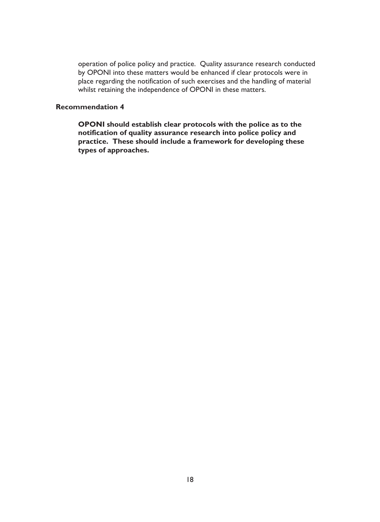operation of police policy and practice. Quality assurance research conducted by OPONI into these matters would be enhanced if clear protocols were in place regarding the notification of such exercises and the handling of material whilst retaining the independence of OPONI in these matters.

### **Recommendation 4**

OPONI should establish clear protocols with the police as to the notification of quality assurance research into police policy and practice. These should include a framework for developing these types of approaches.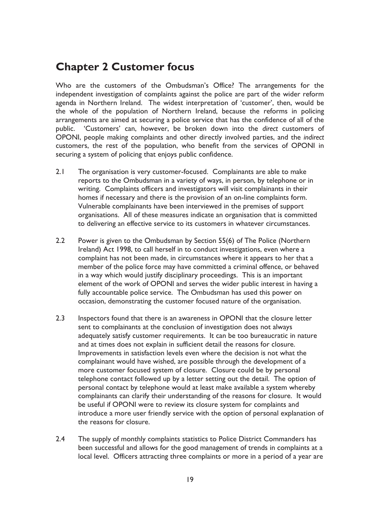### **Chapter 2 Customer focus**

Who are the customers of the Ombudsman's Office? The arrangements for the independent investigation of complaints against the police are part of the wider reform agenda in Northern Ireland. The widest interpretation of 'customer', then, would be the whole of the population of Northern Ireland, because the reforms in policing arrangements are aimed at securing a police service that has the confidence of all of the public. 'Customers' can, however, be broken down into the direct customers of OPONI, people making complaints and other directly involved parties, and the indirect customers, the rest of the population, who benefit from the services of OPONI in securing a system of policing that enioys public confidence.

- $2.1$ The organisation is very customer-focused. Complainants are able to make reports to the Ombudsman in a variety of ways, in person, by telephone or in writing. Complaints officers and investigators will visit complainants in their homes if necessary and there is the provision of an on-line complaints form. Vulnerable complainants have been interviewed in the premises of support organisations. All of these measures indicate an organisation that is committed to delivering an effective service to its customers in whatever circumstances.
- $2.2$ Power is given to the Ombudsman by Section 55(6) of The Police (Northern Ireland) Act 1998, to call herself in to conduct investigations, even where a complaint has not been made, in circumstances where it appears to her that a member of the police force may have committed a criminal offence, or behaved in a way which would justify disciplinary proceedings. This is an important element of the work of OPONI and serves the wider public interest in having a fully accountable police service. The Ombudsman has used this power on occasion, demonstrating the customer focused nature of the organisation.
- $2.3$ Inspectors found that there is an awareness in OPONI that the closure letter sent to complainants at the conclusion of investigation does not always adequately satisfy customer requirements. It can be too bureaucratic in nature and at times does not explain in sufficient detail the reasons for closure. Improvements in satisfaction levels even where the decision is not what the complainant would have wished, are possible through the development of a more customer focused system of closure. Closure could be by personal telephone contact followed up by a letter setting out the detail. The option of personal contact by telephone would at least make available a system whereby complainants can clarify their understanding of the reasons for closure. It would be useful if OPONI were to review its closure system for complaints and introduce a more user friendly service with the option of personal explanation of the reasons for closure.
- $2.4$ The supply of monthly complaints statistics to Police District Commanders has been successful and allows for the good management of trends in complaints at a local level. Officers attracting three complaints or more in a period of a year are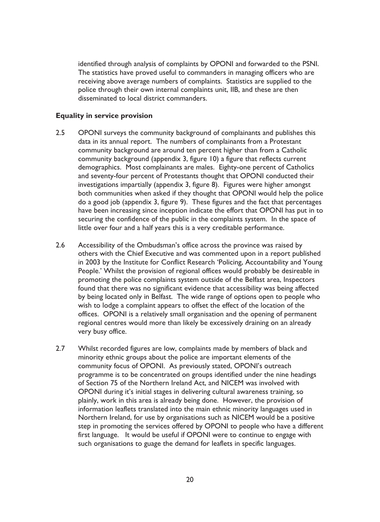identified through analysis of complaints by OPONI and forwarded to the PSNI. The statistics have proved useful to commanders in managing officers who are receiving above average numbers of complaints. Statistics are supplied to the police through their own internal complaints unit, IIB, and these are then disseminated to local district commanders.

### **Equality in service provision**

- $2.5$ OPONI surveys the community background of complainants and publishes this data in its annual report. The numbers of complainants from a Protestant community background are around ten percent higher than from a Catholic community background (appendix 3, figure 10) a figure that reflects current demographics. Most complainants are males. Eighty-one percent of Catholics and seventy-four percent of Protestants thought that OPONI conducted their investigations impartially (appendix 3, figure 8). Figures were higher amongst both communities when asked if they thought that OPONI would help the police do a good job (appendix 3, figure 9). These figures and the fact that percentages have been increasing since inception indicate the effort that OPONI has put in to securing the confidence of the public in the complaints system. In the space of little over four and a half years this is a very creditable performance.
- $2.6$ Accessibility of the Ombudsman's office across the province was raised by others with the Chief Executive and was commented upon in a report published in 2003 by the Institute for Conflict Research 'Policing, Accountability and Young People.' Whilst the provision of regional offices would probably be desireable in promoting the police complaints system outside of the Belfast area, Inspectors found that there was no significant evidence that accessibility was being affected by being located only in Belfast. The wide range of options open to people who wish to lodge a complaint appears to offset the effect of the location of the offices. OPONI is a relatively small organisation and the opening of permanent regional centres would more than likely be excessively draining on an already very busy office.
- $2.7$ Whilst recorded figures are low, complaints made by members of black and minority ethnic groups about the police are important elements of the community focus of OPONI. As previously stated, OPONI's outreach programme is to be concentrated on groups identified under the nine headings of Section 75 of the Northern Ireland Act, and NICEM was involved with OPONI during it's initial stages in delivering cultural awareness training, so plainly, work in this area is already being done. However, the provision of information leaflets translated into the main ethnic minority languages used in Northern Ireland, for use by organisations such as NICEM would be a positive step in promoting the services offered by OPONI to people who have a different first language. It would be useful if OPONI were to continue to engage with such organisations to guage the demand for leaflets in specific languages.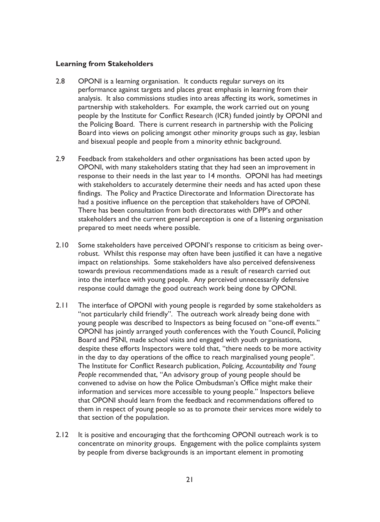### **Learning from Stakeholders**

- OPONI is a learning organisation. It conducts regular surveys on its  $2.8$ performance against targets and places great emphasis in learning from their analysis. It also commissions studies into areas affecting its work, sometimes in partnership with stakeholders. For example, the work carried out on young people by the Institute for Conflict Research (ICR) funded jointly by OPONI and the Policing Board. There is current research in partnership with the Policing Board into views on policing amongst other minority groups such as gay, lesbian and bisexual people and people from a minority ethnic background.
- $2.9$ Feedback from stakeholders and other organisations has been acted upon by OPONI, with many stakeholders stating that they had seen an improvement in response to their needs in the last year to 14 months. OPONI has had meetings with stakeholders to accurately determine their needs and has acted upon these findings. The Policy and Practice Directorate and Information Directorate has had a positive influence on the perception that stakeholders have of OPONI. There has been consultation from both directorates with DPP's and other stakeholders and the current general perception is one of a listening organisation prepared to meet needs where possible.
- $2.10$ Some stakeholders have perceived OPONI's response to criticism as being overrobust. Whilst this response may often have been justified it can have a negative impact on relationships. Some stakeholders have also perceived defensiveness towards previous recommendations made as a result of research carried out into the interface with young people. Any perceived unnecessarily defensive response could damage the good outreach work being done by OPONI.
- $2.11$ The interface of OPONI with young people is regarded by some stakeholders as "not particularly child friendly". The outreach work already being done with young people was described to Inspectors as being focused on "one-off events." OPONI has jointly arranged youth conferences with the Youth Council, Policing Board and PSNI, made school visits and engaged with youth organisations, despite these efforts Inspectors were told that, "there needs to be more activity in the day to day operations of the office to reach marginalised young people". The Institute for Conflict Research publication, Policing, Accountability and Young People recommended that, "An advisory group of young people should be convened to advise on how the Police Ombudsman's Office might make their information and services more accessible to young people." Inspectors believe that OPONI should learn from the feedback and recommendations offered to them in respect of young people so as to promote their services more widely to that section of the population.
- $2.12$ It is positive and encouraging that the forthcoming OPONI outreach work is to concentrate on minority groups. Engagement with the police complaints system by people from diverse backgrounds is an important element in promoting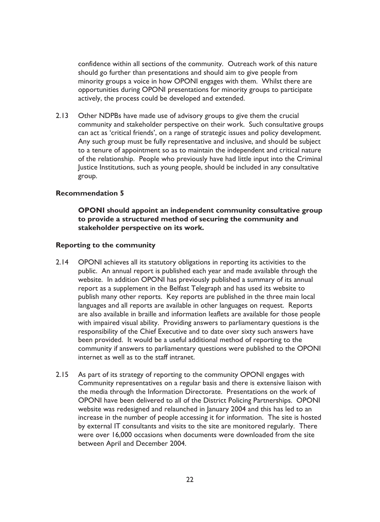confidence within all sections of the community. Outreach work of this nature should go further than presentations and should aim to give people from minority groups a voice in how OPONI engages with them. Whilst there are opportunities during OPONI presentations for minority groups to participate actively, the process could be developed and extended.

 $2.13$ Other NDPBs have made use of advisory groups to give them the crucial community and stakeholder perspective on their work. Such consultative groups can act as 'critical friends', on a range of strategic issues and policy development. Any such group must be fully representative and inclusive, and should be subject to a tenure of appointment so as to maintain the independent and critical nature of the relationship. People who previously have had little input into the Criminal lustice Institutions, such as young people, should be included in any consultative group.

#### **Recommendation 5**

OPONI should appoint an independent community consultative group to provide a structured method of securing the community and stakeholder perspective on its work.

#### **Reporting to the community**

- $2.14$ OPONI achieves all its statutory obligations in reporting its activities to the public. An annual report is published each year and made available through the website. In addition OPONI has previously published a summary of its annual report as a supplement in the Belfast Telegraph and has used its website to publish many other reports. Key reports are published in the three main local languages and all reports are available in other languages on request. Reports are also available in braille and information leaflets are available for those people with impaired visual ability. Providing answers to parliamentary questions is the responsibility of the Chief Executive and to date over sixty such answers have been provided. It would be a useful additional method of reporting to the community if answers to parliamentary questions were published to the OPONI internet as well as to the staff intranet.
- $2.15$ As part of its strategy of reporting to the community OPONI engages with Community representatives on a regular basis and there is extensive liaison with the media through the Information Directorate. Presentations on the work of OPONI have been delivered to all of the District Policing Partnerships. OPONI website was redesigned and relaunched in January 2004 and this has led to an increase in the number of people accessing it for information. The site is hosted by external IT consultants and visits to the site are monitored regularly. There were over 16,000 occasions when documents were downloaded from the site between April and December 2004.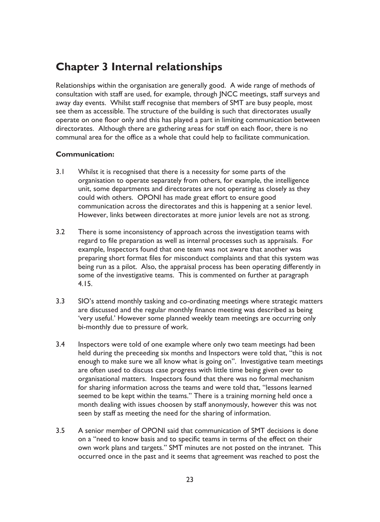### **Chapter 3 Internal relationships**

Relationships within the organisation are generally good. A wide range of methods of consultation with staff are used, for example, through JNCC meetings, staff surveys and away day events. Whilst staff recognise that members of SMT are busy people, most see them as accessible. The structure of the building is such that directorates usually operate on one floor only and this has played a part in limiting communication between directorates. Although there are gathering areas for staff on each floor, there is no communal area for the office as a whole that could help to facilitate communication.

### **Communication:**

- $3.1$ Whilst it is recognised that there is a necessity for some parts of the organisation to operate separately from others, for example, the intelligence unit, some departments and directorates are not operating as closely as they could with others. OPONI has made great effort to ensure good communication across the directorates and this is happening at a senior level. However, links between directorates at more junior levels are not as strong.
- $3.2$ There is some inconsistency of approach across the investigation teams with regard to file preparation as well as internal processes such as appraisals. For example, Inspectors found that one team was not aware that another was preparing short format files for misconduct complaints and that this system was being run as a pilot. Also, the appraisal process has been operating differently in some of the investigative teams. This is commented on further at paragraph  $4.15.$
- $3.3$ SIO's attend monthly tasking and co-ordinating meetings where strategic matters are discussed and the regular monthly finance meeting was described as being 'very useful.' However some planned weekly team meetings are occurring only bi-monthly due to pressure of work.
- $3.4$ Inspectors were told of one example where only two team meetings had been held during the preceeding six months and Inspectors were told that, "this is not enough to make sure we all know what is going on". Investigative team meetings are often used to discuss case progress with little time being given over to organisational matters. Inspectors found that there was no formal mechanism for sharing information across the teams and were told that, "lessons learned seemed to be kept within the teams." There is a training morning held once a month dealing with issues choosen by staff anonymously, however this was not seen by staff as meeting the need for the sharing of information.
- $3.5$ A senior member of OPONI said that communication of SMT decisions is done on a "need to know basis and to specific teams in terms of the effect on their own work plans and targets." SMT minutes are not posted on the intranet. This occurred once in the past and it seems that agreement was reached to post the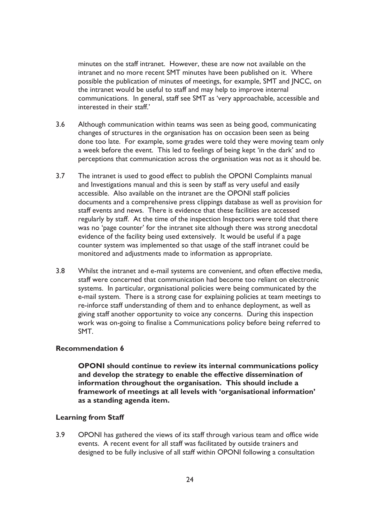minutes on the staff intranet. However, these are now not available on the intranet and no more recent SMT minutes have been published on it. Where possible the publication of minutes of meetings, for example, SMT and JNCC, on the intranet would be useful to staff and may help to improve internal communications. In general, staff see SMT as 'very approachable, accessible and interested in their staff'

- $3.6$ Although communication within teams was seen as being good, communicating changes of structures in the organisation has on occasion been seen as being done too late. For example, some grades were told they were moving team only a week before the event. This led to feelings of being kept 'in the dark' and to perceptions that communication across the organisation was not as it should be.
- $3.7$ The intranet is used to good effect to publish the OPONI Complaints manual and Investigations manual and this is seen by staff as very useful and easily accessible. Also available on the intranet are the OPONI staff policies documents and a comprehensive press clippings database as well as provision for staff events and news. There is evidence that these facilities are accessed regularly by staff. At the time of the inspection Inspectors were told that there was no 'page counter' for the intranet site although there was strong anecdotal evidence of the facility being used extensively. It would be useful if a page counter system was implemented so that usage of the staff intranet could be monitored and adjustments made to information as appropriate.
- $3.8$ Whilst the intranet and e-mail systems are convenient, and often effective media, staff were concerned that communication had become too reliant on electronic systems. In particular, organisational policies were being communicated by the e-mail system. There is a strong case for explaining policies at team meetings to re-inforce staff understanding of them and to enhance deployment, as well as giving staff another opportunity to voice any concerns. During this inspection work was on-going to finalise a Communications policy before being referred to SMT.

### **Recommendation 6**

OPONI should continue to review its internal communications policy and develop the strategy to enable the effective dissemination of information throughout the organisation. This should include a framework of meetings at all levels with 'organisational information' as a standing agenda item.

#### **Learning from Staff**

 $3.9$ OPONI has gathered the views of its staff through various team and office wide events. A recent event for all staff was facilitated by outside trainers and designed to be fully inclusive of all staff within OPONI following a consultation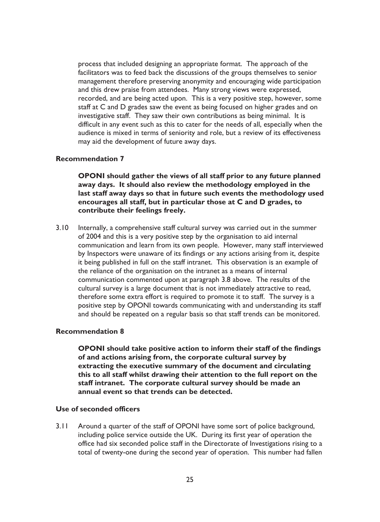process that included designing an appropriate format. The approach of the facilitators was to feed back the discussions of the groups themselves to senior management therefore preserving anonymity and encouraging wide participation and this drew praise from attendees. Many strong views were expressed, recorded, and are being acted upon. This is a very positive step, however, some staff at C and D grades saw the event as being focused on higher grades and on investigative staff. They saw their own contributions as being minimal. It is difficult in any event such as this to cater for the needs of all, especially when the audience is mixed in terms of seniority and role, but a review of its effectiveness may aid the development of future away days.

### **Recommendation 7**

OPONI should gather the views of all staff prior to any future planned away days. It should also review the methodology employed in the last staff away days so that in future such events the methodology used encourages all staff, but in particular those at C and D grades, to contribute their feelings freely.

 $3.10$ Internally, a comprehensive staff cultural survey was carried out in the summer of 2004 and this is a very positive step by the organisation to aid internal communication and learn from its own people. However, many staff interviewed by Inspectors were unaware of its findings or any actions arising from it, despite it being published in full on the staff intranet. This observation is an example of the reliance of the organisation on the intranet as a means of internal communication commented upon at paragraph 3.8 above. The results of the cultural survey is a large document that is not immediately attractive to read, therefore some extra effort is required to promote it to staff. The survey is a positive step by OPONI towards communicating with and understanding its staff and should be repeated on a regular basis so that staff trends can be monitored.

#### **Recommendation 8**

OPONI should take positive action to inform their staff of the findings of and actions arising from, the corporate cultural survey by extracting the executive summary of the document and circulating this to all staff whilst drawing their attention to the full report on the staff intranet. The corporate cultural survey should be made an annual event so that trends can be detected.

#### Use of seconded officers

Around a quarter of the staff of OPONI have some sort of police background,  $3.11$ including police service outside the UK. During its first year of operation the office had six seconded police staff in the Directorate of Investigations rising to a total of twenty-one during the second year of operation. This number had fallen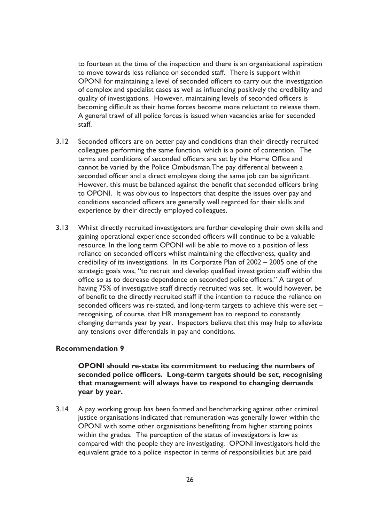to fourteen at the time of the inspection and there is an organisational aspiration to move towards less reliance on seconded staff. There is support within OPONI for maintaining a level of seconded officers to carry out the investigation of complex and specialist cases as well as influencing positively the credibility and quality of investigations. However, maintaining levels of seconded officers is becoming difficult as their home forces become more reluctant to release them. A general trawl of all police forces is issued when vacancies arise for seconded staff.

- $3.12$ Seconded officers are on better pay and conditions than their directly recruited colleagues performing the same function, which is a point of contention. The terms and conditions of seconded officers are set by the Home Office and cannot be varied by the Police Ombudsman. The pay differential between a seconded officer and a direct employee doing the same job can be significant. However, this must be balanced against the benefit that seconded officers bring to OPONI. It was obvious to Inspectors that despite the issues over pay and conditions seconded officers are generally well regarded for their skills and experience by their directly employed colleagues.
- $3.13$ Whilst directly recruited investigators are further developing their own skills and gaining operational experience seconded officers will continue to be a valuable resource. In the long term OPONI will be able to move to a position of less reliance on seconded officers whilst maintaining the effectiveness, quality and credibility of its investigations. In its Corporate Plan of 2002 - 2005 one of the strategic goals was, "to recruit and develop qualified investigation staff within the office so as to decrease dependence on seconded police officers." A target of having 75% of investigative staff directly recruited was set. It would however, be of benefit to the directly recruited staff if the intention to reduce the reliance on seconded officers was re-stated, and long-term targets to achieve this were set recognising, of course, that HR management has to respond to constantly changing demands year by year. Inspectors believe that this may help to alleviate any tensions over differentials in pay and conditions.

### **Recommendation 9**

OPONI should re-state its commitment to reducing the numbers of seconded police officers. Long-term targets should be set, recognising that management will always have to respond to changing demands year by year.

 $3.14$ A pay working group has been formed and benchmarking against other criminal justice organisations indicated that remuneration was generally lower within the OPONI with some other organisations benefitting from higher starting points within the grades. The perception of the status of investigators is low as compared with the people they are investigating. OPONI investigators hold the equivalent grade to a police inspector in terms of responsibilities but are paid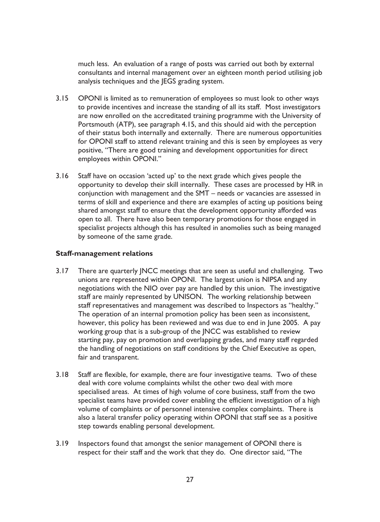much less. An evaluation of a range of posts was carried out both by external consultants and internal management over an eighteen month period utilising job analysis techniques and the JEGS grading system.

- $3.15$ OPONI is limited as to remuneration of employees so must look to other ways to provide incentives and increase the standing of all its staff. Most investigators are now enrolled on the accreditated training programme with the University of Portsmouth (ATP), see paragraph 4.15, and this should aid with the perception of their status both internally and externally. There are numerous opportunities for OPONI staff to attend relevant training and this is seen by employees as very positive, "There are good training and development opportunities for direct employees within OPONI."
- $3.16$ Staff have on occasion 'acted up' to the next grade which gives people the opportunity to develop their skill internally. These cases are processed by HR in conjunction with management and the SMT – needs or vacancies are assessed in terms of skill and experience and there are examples of acting up positions being shared amongst staff to ensure that the development opportunity afforded was open to all. There have also been temporary promotions for those engaged in specialist projects although this has resulted in anomolies such as being managed by someone of the same grade.

### **Staff-management relations**

- $3.17$ There are quarterly JNCC meetings that are seen as useful and challenging. Two unions are represented within OPONI. The largest union is NIPSA and any negotiations with the NIO over pay are handled by this union. The investigative staff are mainly represented by UNISON. The working relationship between staff representatives and management was described to Inspectors as "healthy." The operation of an internal promotion policy has been seen as inconsistent, however, this policy has been reviewed and was due to end in June 2005. A pay working group that is a sub-group of the JNCC was established to review starting pay, pay on promotion and overlapping grades, and many staff regarded the handling of negotiations on staff conditions by the Chief Executive as open, fair and transparent.
- $3.18$ Staff are flexible, for example, there are four investigative teams. Two of these deal with core volume complaints whilst the other two deal with more specialised areas. At times of high volume of core business, staff from the two specialist teams have provided cover enabling the efficient investigation of a high volume of complaints or of personnel intensive complex complaints. There is also a lateral transfer policy operating within OPONI that staff see as a positive step towards enabling personal development.
- $3.19$ Inspectors found that amongst the senior management of OPONI there is respect for their staff and the work that they do. One director said, "The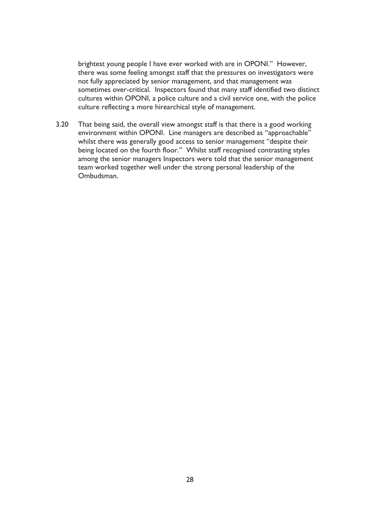brightest young people I have ever worked with are in OPONI." However, there was some feeling amongst staff that the pressures on investigators were not fully appreciated by senior management, and that management was sometimes over-critical. Inspectors found that many staff identified two distinct cultures within OPONI, a police culture and a civil service one, with the police culture reflecting a more hirearchical style of management.

 $3.20$ That being said, the overall view amongst staff is that there is a good working environment within OPONI. Line managers are described as "approachable" whilst there was generally good access to senior management "despite their being located on the fourth floor." Whilst staff recognised contrasting styles among the senior managers Inspectors were told that the senior management team worked together well under the strong personal leadership of the Ombudsman.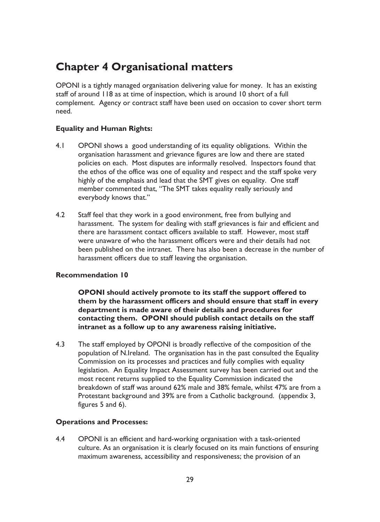### **Chapter 4 Organisational matters**

OPONI is a tightly managed organisation delivering value for money. It has an existing staff of around 118 as at time of inspection, which is around 10 short of a full complement. Agency or contract staff have been used on occasion to cover short term need.

### **Equality and Human Rights:**

- $4.1$ OPONI shows a good understanding of its equality obligations. Within the organisation harassment and grievance figures are low and there are stated policies on each. Most disputes are informally resolved. Inspectors found that the ethos of the office was one of equality and respect and the staff spoke very highly of the emphasis and lead that the SMT gives on equality. One staff member commented that, "The SMT takes equality really seriously and everybody knows that."
- $42$ Staff feel that they work in a good environment, free from bullying and harassment. The system for dealing with staff grievances is fair and efficient and there are harassment contact officers available to staff. However, most staff were unaware of who the harassment officers were and their details had not been published on the intranet. There has also been a decrease in the number of harassment officers due to staff leaving the organisation.

### **Recommendation 10**

OPONI should actively promote to its staff the support offered to them by the harassment officers and should ensure that staff in every department is made aware of their details and procedures for contacting them. OPONI should publish contact details on the staff intranet as a follow up to any awareness raising initiative.

 $4.3$ The staff employed by OPONI is broadly reflective of the composition of the population of N.Ireland. The organisation has in the past consulted the Equality Commission on its processes and practices and fully complies with equality legislation. An Equality Impact Assessment survey has been carried out and the most recent returns supplied to the Equality Commission indicated the breakdown of staff was around 62% male and 38% female, whilst 47% are from a Protestant background and 39% are from a Catholic background. (appendix 3, figures 5 and 6).

### **Operations and Processes:**

 $4.4$ OPONI is an efficient and hard-working organisation with a task-oriented culture. As an organisation it is clearly focused on its main functions of ensuring maximum awareness, accessibility and responsiveness; the provision of an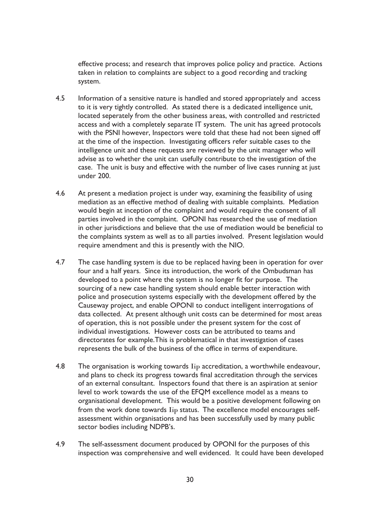effective process; and research that improves police policy and practice. Actions taken in relation to complaints are subject to a good recording and tracking system.

- $4.5$ Information of a sensitive nature is handled and stored appropriately and access to it is very tightly controlled. As stated there is a dedicated intelligence unit, located seperately from the other business areas, with controlled and restricted access and with a completely separate IT system. The unit has agreed protocols with the PSNI however, Inspectors were told that these had not been signed off at the time of the inspection. Investigating officers refer suitable cases to the intelligence unit and these requests are reviewed by the unit manager who will advise as to whether the unit can usefully contribute to the investigation of the case. The unit is busy and effective with the number of live cases running at just under 200.
- 4.6 At present a mediation project is under way, examining the feasibility of using mediation as an effective method of dealing with suitable complaints. Mediation would begin at inception of the complaint and would require the consent of all parties involved in the complaint. OPONI has researched the use of mediation in other jurisdictions and believe that the use of mediation would be beneficial to the complaints system as well as to all parties involved. Present legislation would require amendment and this is presently with the NIO.
- 4.7 The case handling system is due to be replaced having been in operation for over four and a half years. Since its introduction, the work of the Ombudsman has developed to a point where the system is no longer fit for purpose. The sourcing of a new case handling system should enable better interaction with police and prosecution systems especially with the development offered by the Causeway project, and enable OPONI to conduct intelligent interrogations of data collected. At present although unit costs can be determined for most areas of operation, this is not possible under the present system for the cost of individual investigations. However costs can be attributed to teams and directorates for example. This is problematical in that investigation of cases represents the bulk of the business of the office in terms of expenditure.
- 4.8 The organisation is working towards Iip accreditation, a worthwhile endeavour, and plans to check its progress towards final accreditation through the services of an external consultant. Inspectors found that there is an aspiration at senior level to work towards the use of the EFOM excellence model as a means to organisational development. This would be a positive development following on from the work done towards Iip status. The excellence model encourages selfassessment within organisations and has been successfully used by many public sector bodies including NDPB's.
- 4.9 The self-assessment document produced by OPONI for the purposes of this inspection was comprehensive and well evidenced. It could have been developed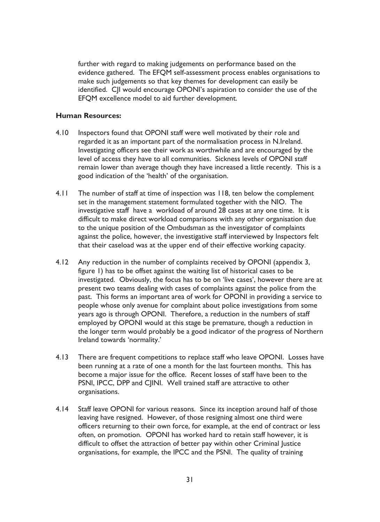further with regard to making judgements on performance based on the evidence gathered. The EFQM self-assessment process enables organisations to make such judgements so that key themes for development can easily be identified. C|I would encourage OPONI's aspiration to consider the use of the EFQM excellence model to aid further development.

### **Human Resources:**

- $4.10$ Inspectors found that OPONI staff were well motivated by their role and regarded it as an important part of the normalisation process in N.Ireland. Investigating officers see their work as worthwhile and are encouraged by the level of access they have to all communities. Sickness levels of OPONI staff remain lower than average though they have increased a little recently. This is a good indication of the 'health' of the organisation.
- $4.11$ The number of staff at time of inspection was 118, ten below the complement set in the management statement formulated together with the NIO. The investigative staff have a workload of around 28 cases at any one time. It is difficult to make direct workload comparisons with any other organisation due to the unique position of the Ombudsman as the investigator of complaints against the police, however, the investigative staff interviewed by Inspectors felt that their caseload was at the upper end of their effective working capacity.
- $4.12$ Any reduction in the number of complaints received by OPONI (appendix 3, figure 1) has to be offset against the waiting list of historical cases to be investigated. Obviously, the focus has to be on 'live cases', however there are at present two teams dealing with cases of complaints against the police from the past. This forms an important area of work for OPONI in providing a service to people whose only avenue for complaint about police investigations from some years ago is through OPONI. Therefore, a reduction in the numbers of staff employed by OPONI would at this stage be premature, though a reduction in the longer term would probably be a good indicator of the progress of Northern Ireland towards 'normality.'
- $4.13$ There are frequent competitions to replace staff who leave OPONI. Losses have been running at a rate of one a month for the last fourteen months. This has become a major issue for the office. Recent losses of staff have been to the PSNI, IPCC, DPP and C|INI. Well trained staff are attractive to other organisations.
- $4.14$ Staff leave OPONI for various reasons. Since its inception around half of those leaving have resigned. However, of those resigning almost one third were officers returning to their own force, for example, at the end of contract or less often, on promotion. OPONI has worked hard to retain staff however, it is difficult to offset the attraction of better pay within other Criminal Justice organisations, for example, the IPCC and the PSNI. The quality of training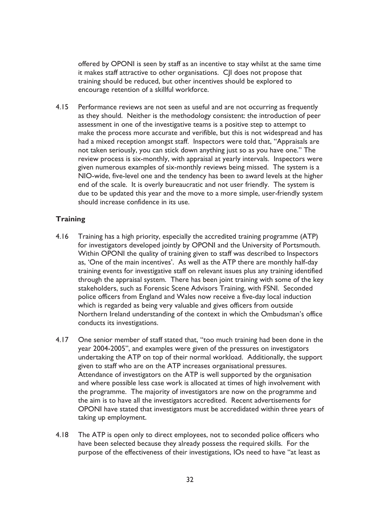offered by OPONI is seen by staff as an incentive to stay whilst at the same time it makes staff attractive to other organisations. CII does not propose that training should be reduced, but other incentives should be explored to encourage retention of a skillful workforce.

 $415$ Performance reviews are not seen as useful and are not occurring as frequently as they should. Neither is the methodology consistent: the introduction of peer assessment in one of the investigative teams is a positive step to attempt to make the process more accurate and verifible, but this is not widespread and has had a mixed reception amongst staff. Inspectors were told that, "Appraisals are not taken seriously, you can stick down anything just so as you have one." The review process is six-monthly, with appraisal at yearly intervals. Inspectors were given numerous examples of six-monthly reviews being missed. The system is a NIO-wide, five-level one and the tendency has been to award levels at the higher end of the scale. It is overly bureaucratic and not user friendly. The system is due to be updated this year and the move to a more simple, user-friendly system should increase confidence in its use.

### **Training**

- $4.16$ Training has a high priority, especially the accredited training programme (ATP) for investigators developed jointly by OPONI and the University of Portsmouth. Within OPONI the quality of training given to staff was described to Inspectors as, 'One of the main incentives'. As well as the ATP there are monthly half-day training events for investigative staff on relevant issues plus any training identified through the appraisal system. There has been joint training with some of the key stakeholders, such as Forensic Scene Advisors Training, with FSNI. Seconded police officers from England and Wales now receive a five-day local induction which is regarded as being very valuable and gives officers from outside Northern Ireland understanding of the context in which the Ombudsman's office conducts its investigations.
- $4.17$ One senior member of staff stated that, "too much training had been done in the year 2004-2005", and examples were given of the pressures on investigators undertaking the ATP on top of their normal workload. Additionally, the support given to staff who are on the ATP increases organisational pressures. Attendance of investigators on the ATP is well supported by the organisation and where possible less case work is allocated at times of high involvement with the programme. The majority of investigators are now on the programme and the aim is to have all the investigators accredited. Recent advertisements for OPONI have stated that investigators must be accredidated within three years of taking up employment.
- $4.18$ The ATP is open only to direct employees, not to seconded police officers who have been selected because they already possess the required skills. For the purpose of the effectiveness of their investigations, IOs need to have "at least as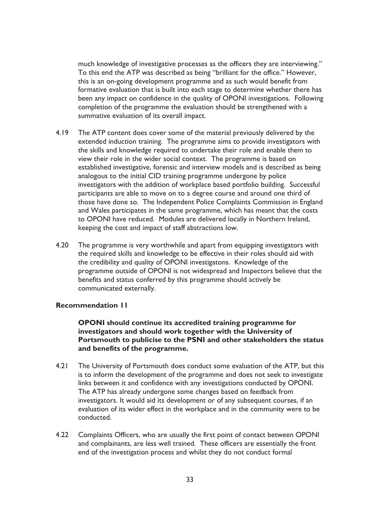much knowledge of investigative processes as the officers they are interviewing." To this end the ATP was described as being "brilliant for the office." However, this is an on-going development programme and as such would benefit from formative evaluation that is built into each stage to determine whether there has been any impact on confidence in the quality of OPONI investigations. Following completion of the programme the evaluation should be strengthened with a summative evaluation of its overall impact.

- $4.19$ The ATP content does cover some of the material previously delivered by the extended induction training. The programme aims to provide investigators with the skills and knowledge required to undertake their role and enable them to view their role in the wider social context. The programme is based on established investigative, forensic and interview models and is described as being analogous to the initial CID training programme undergone by police investigators with the addition of workplace based portfolio building. Successful participants are able to move on to a degree course and around one third of those have done so. The Independent Police Complaints Commission in England and Wales participates in the same programme, which has meant that the costs to OPONI have reduced. Modules are delivered locally in Northern Ireland, keeping the cost and impact of staff abstractions low.
- 4.20 The programme is very worthwhile and apart from equipping investigators with the required skills and knowledge to be effective in their roles should aid with the credibility and quality of OPONI investigatons. Knowledge of the programme outside of OPONI is not widespread and Inspectors believe that the benefits and status conferred by this programme should actively be communicated externally.

### **Recommendation II**

**OPONI** should continue its accredited training programme for investigators and should work together with the University of Portsmouth to publicise to the PSNI and other stakeholders the status and benefits of the programme.

- $421$ The University of Portsmouth does conduct some evaluation of the ATP, but this is to inform the development of the programme and does not seek to investigate links between it and confidence with any investigations conducted by OPONI. The ATP has already undergone some changes based on feedback from investigators. It would aid its development or of any subsequent courses, if an evaluation of its wider effect in the workplace and in the community were to be conducted.
- $4.22$ Complaints Officers, who are usually the first point of contact between OPONI and complainants, are less well trained. These officers are essentially the front end of the investigation process and whilst they do not conduct formal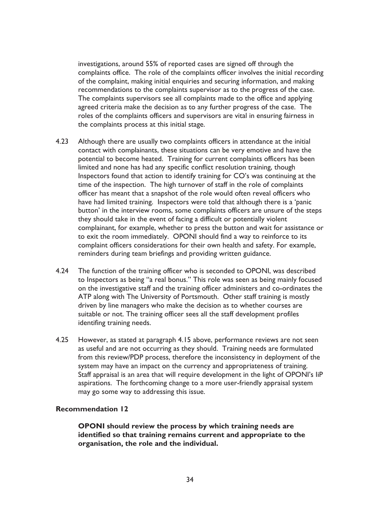investigations, around 55% of reported cases are signed off through the complaints office. The role of the complaints officer involves the initial recording of the complaint, making initial enquiries and securing information, and making recommendations to the complaints supervisor as to the progress of the case. The complaints supervisors see all complaints made to the office and applying agreed criteria make the decision as to any further progress of the case. The roles of the complaints officers and supervisors are vital in ensuring fairness in the complaints process at this initial stage.

- $4.23$ Although there are usually two complaints officers in attendance at the initial contact with complainants, these situations can be very emotive and have the potential to become heated. Training for current complaints officers has been limited and none has had any specific conflict resolution training, though Inspectors found that action to identify training for CO's was continuing at the time of the inspection. The high turnover of staff in the role of complaints officer has meant that a snapshot of the role would often reveal officers who have had limited training. Inspectors were told that although there is a 'panic button' in the interview rooms, some complaints officers are unsure of the steps they should take in the event of facing a difficult or potentially violent complainant, for example, whether to press the button and wait for assistance or to exit the room immediately. OPONI should find a way to reinforce to its complaint officers considerations for their own health and safety. For example, reminders during team briefings and providing written guidance.
- $4.24$ The function of the training officer who is seconded to OPONI, was described to Inspectors as being "a real bonus." This role was seen as being mainly focused on the investigative staff and the training officer administers and co-ordinates the ATP along with The University of Portsmouth. Other staff training is mostly driven by line managers who make the decision as to whether courses are suitable or not. The training officer sees all the staff development profiles identifing training needs.
- $4.25$ However, as stated at paragraph 4.15 above, performance reviews are not seen as useful and are not occurring as they should. Training needs are formulated from this review/PDP process, therefore the inconsistency in deployment of the system may have an impact on the currency and appropriateness of training. Staff appraisal is an area that will require development in the light of OPONI's liP aspirations. The forthcoming change to a more user-friendly appraisal system may go some way to addressing this issue.

#### **Recommendation 12**

OPONI should review the process by which training needs are identified so that training remains current and appropriate to the organisation, the role and the individual.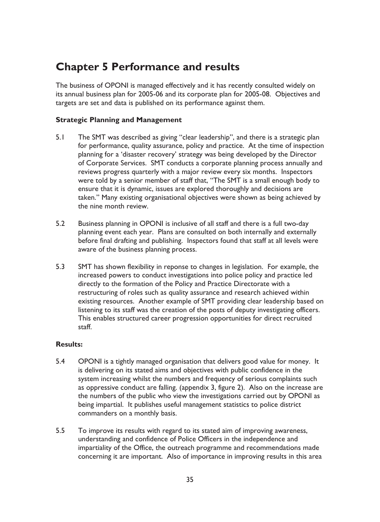## **Chapter 5 Performance and results**

The business of OPONI is managed effectively and it has recently consulted widely on its annual business plan for 2005-06 and its corporate plan for 2005-08. Objectives and targets are set and data is published on its performance against them.

### **Strategic Planning and Management**

- $5.1$ The SMT was described as giving "clear leadership", and there is a strategic plan for performance, quality assurance, policy and practice. At the time of inspection planning for a 'disaster recovery' strategy was being developed by the Director of Corporate Services. SMT conducts a corporate planning process annually and reviews progress quarterly with a major review every six months. Inspectors were told by a senior member of staff that, "The SMT is a small enough body to ensure that it is dynamic, issues are explored thoroughly and decisions are taken." Many existing organisational objectives were shown as being achieved by the nine month review.
- 5.2 Business planning in OPONI is inclusive of all staff and there is a full two-day planning event each year. Plans are consulted on both internally and externally before final drafting and publishing. Inspectors found that staff at all levels were aware of the business planning process.
- $5.3$ SMT has shown flexibility in reponse to changes in legislation. For example, the increased powers to conduct investigations into police policy and practice led directly to the formation of the Policy and Practice Directorate with a restructuring of roles such as quality assurance and research achieved within existing resources. Another example of SMT providing clear leadership based on listening to its staff was the creation of the posts of deputy investigating officers. This enables structured career progression opportunities for direct recruited staff.

### **Results:**

- $5.4$ OPONI is a tightly managed organisation that delivers good value for money. It is delivering on its stated aims and objectives with public confidence in the system increasing whilst the numbers and frequency of serious complaints such as oppressive conduct are falling. (appendix 3, figure 2). Also on the increase are the numbers of the public who view the investigations carried out by OPONI as being impartial. It publishes useful management statistics to police district commanders on a monthly basis.
- $5.5$ To improve its results with regard to its stated aim of improving awareness, understanding and confidence of Police Officers in the independence and impartiality of the Office, the outreach programme and recommendations made concerning it are important. Also of importance in improving results in this area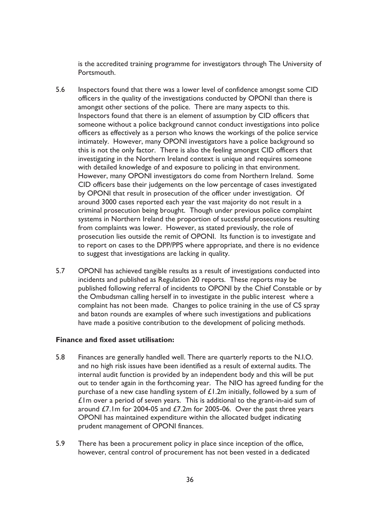is the accredited training programme for investigators through The University of Portsmouth.

- $5.6$ Inspectors found that there was a lower level of confidence amongst some CID officers in the quality of the investigations conducted by OPONI than there is amongst other sections of the police. There are many aspects to this. Inspectors found that there is an element of assumption by CID officers that someone without a police background cannot conduct investigations into police officers as effectively as a person who knows the workings of the police service intimately. However, many OPONI investigators have a police background so this is not the only factor. There is also the feeling amongst CID officers that investigating in the Northern Ireland context is unique and requires someone with detailed knowledge of and exposure to policing in that environment. However, many OPONI investigators do come from Northern Ireland. Some CID officers base their judgements on the low percentage of cases investigated by OPONI that result in prosecution of the officer under investigation. Of around 3000 cases reported each year the vast majority do not result in a criminal prosecution being brought. Though under previous police complaint systems in Northern Ireland the proportion of successful prosecutions resulting from complaints was lower. However, as stated previously, the role of prosecution lies outside the remit of OPONI. Its function is to investigate and to report on cases to the DPP/PPS where appropriate, and there is no evidence to suggest that investigations are lacking in quality.
- $5.7$ OPONI has achieved tangible results as a result of investigations conducted into incidents and published as Regulation 20 reports. These reports may be published following referral of incidents to OPONI by the Chief Constable or by the Ombudsman calling herself in to investigate in the public interest where a complaint has not been made. Changes to police training in the use of CS spray and baton rounds are examples of where such investigations and publications have made a positive contribution to the development of policing methods.

#### Finance and fixed asset utilisation:

- Finances are generally handled well. There are quarterly reports to the N.I.O. 5.8 and no high risk issues have been identified as a result of external audits. The internal audit function is provided by an independent body and this will be put out to tender again in the forthcoming year. The NIO has agreed funding for the purchase of a new case handling system of £1.2m initially, followed by a sum of  $\mathbf{\hat{f}}$  Im over a period of seven years. This is additional to the grant-in-aid sum of around £7.1m for 2004-05 and £7.2m for 2005-06. Over the past three years OPONI has maintained expenditure within the allocated budget indicating prudent management of OPONI finances.
- 5.9 There has been a procurement policy in place since inception of the office, however, central control of procurement has not been vested in a dedicated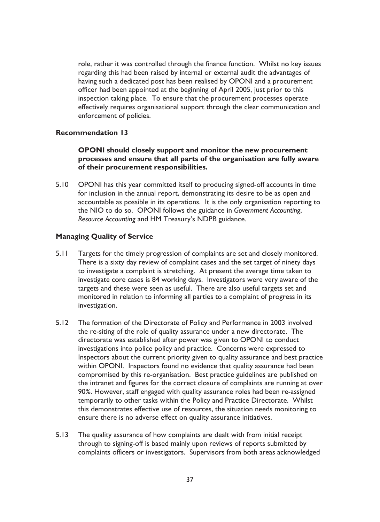role, rather it was controlled through the finance function. Whilst no key issues regarding this had been raised by internal or external audit the advantages of having such a dedicated post has been realised by OPONI and a procurement officer had been appointed at the beginning of April 2005, just prior to this inspection taking place. To ensure that the procurement processes operate effectively requires organisational support through the clear communication and enforcement of policies.

### **Recommendation 13**

### OPONI should closely support and monitor the new procurement processes and ensure that all parts of the organisation are fully aware of their procurement responsibilities.

 $5.10$ OPONI has this year committed itself to producing signed-off accounts in time for inclusion in the annual report, demonstrating its desire to be as open and accountable as possible in its operations. It is the only organisation reporting to the NIO to do so. OPONI follows the guidance in Government Accounting, Resource Accounting and HM Treasury's NDPB guidance.

### **Managing Quality of Service**

- $5.11$ Targets for the timely progression of complaints are set and closely monitored. There is a sixty day review of complaint cases and the set target of ninety days to investigate a complaint is stretching. At present the average time taken to investigate core cases is 84 working days. Investigators were very aware of the targets and these were seen as useful. There are also useful targets set and monitored in relation to informing all parties to a complaint of progress in its investigation.
- $5.12$ The formation of the Directorate of Policy and Performance in 2003 involved the re-siting of the role of quality assurance under a new directorate. The directorate was established after power was given to OPONI to conduct investigations into police policy and practice. Concerns were expressed to Inspectors about the current priority given to quality assurance and best practice within OPONI. Inspectors found no evidence that quality assurance had been compromised by this re-organisation. Best practice guidelines are published on the intranet and figures for the correct closure of complaints are running at over 90%. However, staff engaged with quality assurance roles had been re-assigned temporarily to other tasks within the Policy and Practice Directorate. Whilst this demonstrates effective use of resources, the situation needs monitoring to ensure there is no adverse effect on quality assurance initiatives.
- $5.13$ The quality assurance of how complaints are dealt with from initial receipt through to signing-off is based mainly upon reviews of reports submitted by complaints officers or investigators. Supervisors from both areas acknowledged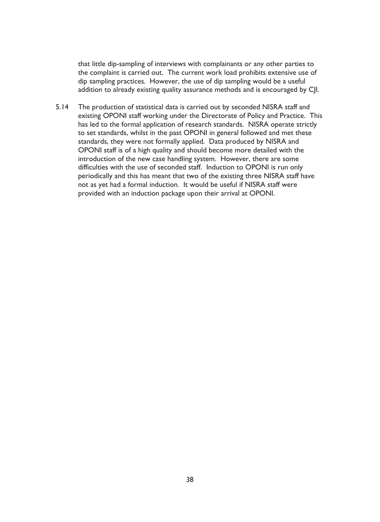that little dip-sampling of interviews with complainants or any other parties to the complaint is carried out. The current work load prohibits extensive use of dip sampling practices. However, the use of dip sampling would be a useful addition to already existing quality assurance methods and is encouraged by C|I.

 $5.14$ The production of statistical data is carried out by seconded NISRA staff and existing OPONI staff working under the Directorate of Policy and Practice. This has led to the formal application of research standards. NISRA operate strictly to set standards, whilst in the past OPONI in general followed and met these standards, they were not formally applied. Data produced by NISRA and OPONI staff is of a high quality and should become more detailed with the introduction of the new case handling system. However, there are some difficulties with the use of seconded staff. Induction to OPONI is run only periodically and this has meant that two of the existing three NISRA staff have not as yet had a formal induction. It would be useful if NISRA staff were provided with an induction package upon their arrival at OPONI.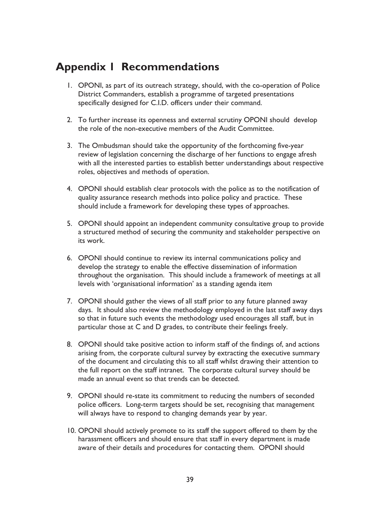### **Appendix I Recommendations**

- 1. OPONI, as part of its outreach strategy, should, with the co-operation of Police District Commanders, establish a programme of targeted presentations specifically designed for C.I.D. officers under their command.
- 2. To further increase its openness and external scrutiny OPONI should develop the role of the non-executive members of the Audit Committee.
- 3. The Ombudsman should take the opportunity of the forthcoming five-year review of legislation concerning the discharge of her functions to engage afresh with all the interested parties to establish better understandings about respective roles, objectives and methods of operation.
- 4. OPONI should establish clear protocols with the police as to the notification of quality assurance research methods into police policy and practice. These should include a framework for developing these types of approaches.
- 5. OPONI should appoint an independent community consultative group to provide a structured method of securing the community and stakeholder perspective on its work.
- 6. OPONI should continue to review its internal communications policy and develop the strategy to enable the effective dissemination of information throughout the organisation. This should include a framework of meetings at all levels with 'organisational information' as a standing agenda item
- 7. OPONI should gather the views of all staff prior to any future planned away days. It should also review the methodology employed in the last staff away days so that in future such events the methodology used encourages all staff, but in particular those at C and D grades, to contribute their feelings freely.
- 8. OPONI should take positive action to inform staff of the findings of, and actions arising from, the corporate cultural survey by extracting the executive summary of the document and circulating this to all staff whilst drawing their attention to the full report on the staff intranet. The corporate cultural survey should be made an annual event so that trends can be detected.
- 9. OPONI should re-state its commitment to reducing the numbers of seconded police officers. Long-term targets should be set, recognising that management will always have to respond to changing demands year by year.
- 10. OPONI should actively promote to its staff the support offered to them by the harassment officers and should ensure that staff in every department is made aware of their details and procedures for contacting them. OPONI should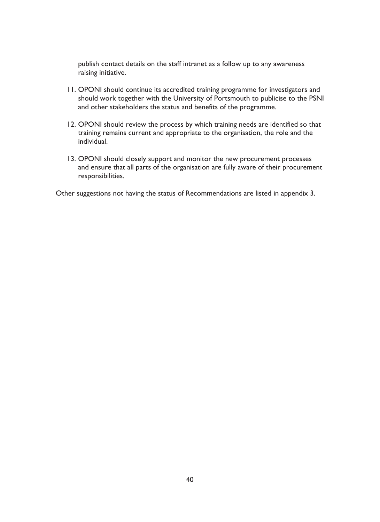publish contact details on the staff intranet as a follow up to any awareness raising initiative.

- 11. OPONI should continue its accredited training programme for investigators and should work together with the University of Portsmouth to publicise to the PSNI and other stakeholders the status and benefits of the programme.
- 12. OPONI should review the process by which training needs are identified so that training remains current and appropriate to the organisation, the role and the individual.
- 13. OPONI should closely support and monitor the new procurement processes and ensure that all parts of the organisation are fully aware of their procurement responsibilities.

Other suggestions not having the status of Recommendations are listed in appendix 3.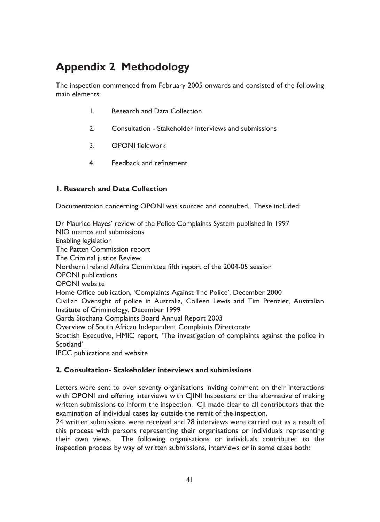# **Appendix 2 Methodology**

The inspection commenced from February 2005 onwards and consisted of the following main elements:

- $\mathbf{L}$ **Research and Data Collection**
- $2<sup>1</sup>$ Consultation - Stakeholder interviews and submissions
- $3.$ **OPONI** fieldwork
- $4<sup>1</sup>$ Feedback and refinement

### **I. Research and Data Collection**

Documentation concerning OPONI was sourced and consulted. These included:

Dr Maurice Hayes' review of the Police Complaints System published in 1997 NIO memos and submissions Enabling legislation The Patten Commission report The Criminal justice Review Northern Ireland Affairs Committee fifth report of the 2004-05 session **OPONI** publications **OPONI** website Home Office publication, 'Complaints Against The Police', December 2000 Civilian Oversight of police in Australia, Colleen Lewis and Tim Prenzier, Australian Institute of Criminology, December 1999 Garda Siochana Complaints Board Annual Report 2003 Overview of South African Independent Complaints Directorate Scottish Executive, HMIC report, 'The investigation of complaints against the police in Scotland' IPCC publications and website

### 2. Consultation- Stakeholder interviews and submissions

Letters were sent to over seventy organisations inviting comment on their interactions with OPONI and offering interviews with CJINI Inspectors or the alternative of making written submissions to inform the inspection. CII made clear to all contributors that the examination of individual cases lay outside the remit of the inspection.

24 written submissions were received and 28 interviews were carried out as a result of this process with persons representing their organisations or individuals representing their own views. The following organisations or individuals contributed to the inspection process by way of written submissions, interviews or in some cases both: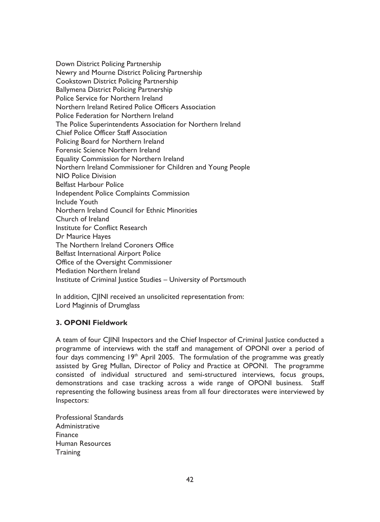Down District Policing Partnership Newry and Mourne District Policing Partnership **Cookstown District Policing Partnership Ballymena District Policing Partnership** Police Service for Northern Ireland Northern Ireland Retired Police Officers Association Police Federation for Northern Ireland The Police Superintendents Association for Northern Ireland Chief Police Officer Staff Association Policing Board for Northern Ireland Forensic Science Northern Ireland Equality Commission for Northern Ireland Northern Ireland Commissioner for Children and Young People NIO Police Division **Belfast Harbour Police** Independent Police Complaints Commission **Include Youth** Northern Ireland Council for Ethnic Minorities Church of Ireland Institute for Conflict Research Dr Maurice Haves The Northern Ireland Coroners Office **Belfast International Airport Police** Office of the Oversight Commissioner Mediation Northern Ireland Institute of Criminal Justice Studies - University of Portsmouth

In addition, CJINI received an unsolicited representation from: Lord Maginnis of Drumglass

### 3. OPONI Fieldwork

A team of four CJINI Inspectors and the Chief Inspector of Criminal Justice conducted a programme of interviews with the staff and management of OPONI over a period of four days commencing 19<sup>th</sup> April 2005. The formulation of the programme was greatly assisted by Greg Mullan, Director of Policy and Practice at OPONI. The programme consisted of individual structured and semi-structured interviews, focus groups, demonstrations and case tracking across a wide range of OPONI business. Staff representing the following business areas from all four directorates were interviewed by Inspectors:

**Professional Standards** Administrative Finance Human Resources Training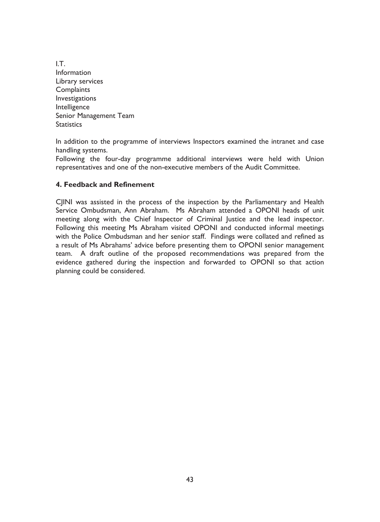I.T. Information Library services Complaints Investigations Intelligence Senior Management Team **Statistics** 

In addition to the programme of interviews Inspectors examined the intranet and case handling systems.

Following the four-day programme additional interviews were held with Union representatives and one of the non-executive members of the Audit Committee.

### 4. Feedback and Refinement

CJINI was assisted in the process of the inspection by the Parliamentary and Health Service Ombudsman, Ann Abraham. Ms Abraham attended a OPONI heads of unit meeting along with the Chief Inspector of Criminal Justice and the lead inspector. Following this meeting Ms Abraham visited OPONI and conducted informal meetings with the Police Ombudsman and her senior staff. Findings were collated and refined as a result of Ms Abrahams' advice before presenting them to OPONI senior management team. A draft outline of the proposed recommendations was prepared from the evidence gathered during the inspection and forwarded to OPONI so that action planning could be considered.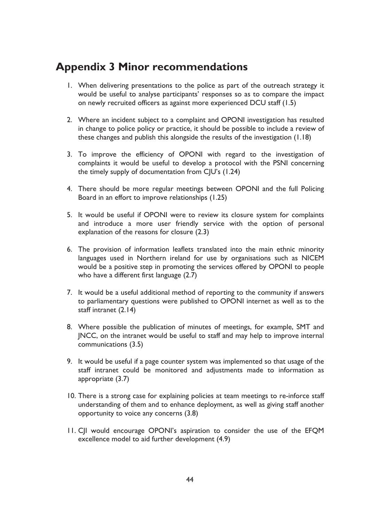### **Appendix 3 Minor recommendations**

- I. When delivering presentations to the police as part of the outreach strategy it would be useful to analyse participants' responses so as to compare the impact on newly recruited officers as against more experienced DCU staff (1.5)
- 2. Where an incident subject to a complaint and OPONI investigation has resulted in change to police policy or practice, it should be possible to include a review of these changes and publish this alongside the results of the investigation (1.18)
- 3. To improve the efficiency of OPONI with regard to the investigation of complaints it would be useful to develop a protocol with the PSNI concerning the timely supply of documentation from CJU's (1.24)
- 4. There should be more regular meetings between OPONI and the full Policing Board in an effort to improve relationships (1.25)
- 5. It would be useful if OPONI were to review its closure system for complaints and introduce a more user friendly service with the option of personal explanation of the reasons for closure (2.3)
- 6. The provision of information leaflets translated into the main ethnic minority languages used in Northern ireland for use by organisations such as NICEM would be a positive step in promoting the services offered by OPONI to people who have a different first language (2.7)
- 7. It would be a useful additional method of reporting to the community if answers to parliamentary questions were published to OPONI internet as well as to the staff intranet (2.14)
- 8. Where possible the publication of minutes of meetings, for example, SMT and INCC, on the intranet would be useful to staff and may help to improve internal communications (3.5)
- 9. It would be useful if a page counter system was implemented so that usage of the staff intranet could be monitored and adjustments made to information as appropriate (3.7)
- 10. There is a strong case for explaining policies at team meetings to re-inforce staff understanding of them and to enhance deployment, as well as giving staff another opportunity to voice any concerns (3.8)
- 11. C|I would encourage OPONI's aspiration to consider the use of the EFQM excellence model to aid further development (4.9)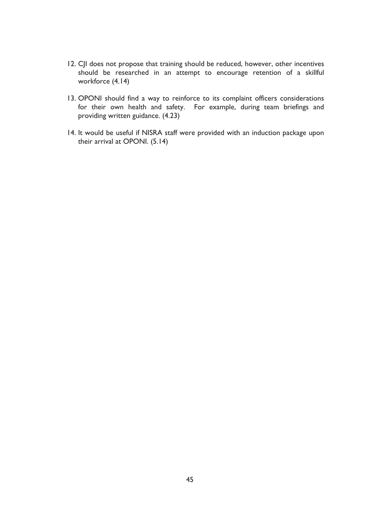- 12. CJI does not propose that training should be reduced, however, other incentives should be researched in an attempt to encourage retention of a skillful workforce (4.14)
- 13. OPONI should find a way to reinforce to its complaint officers considerations for their own health and safety. For example, during team briefings and providing written guidance. (4.23)
- 14. It would be useful if NISRA staff were provided with an induction package upon their arrival at OPONI. (5.14)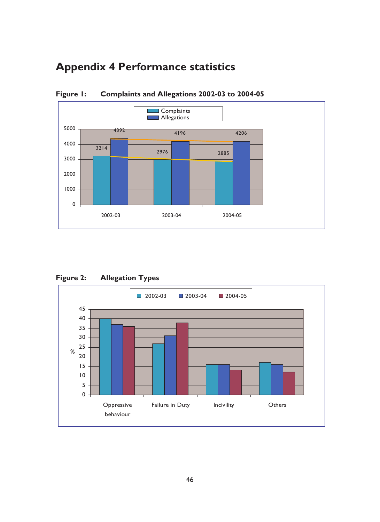# **Appendix 4 Performance statistics**



Figure I: Complaints and Allegations 2002-03 to 2004-05



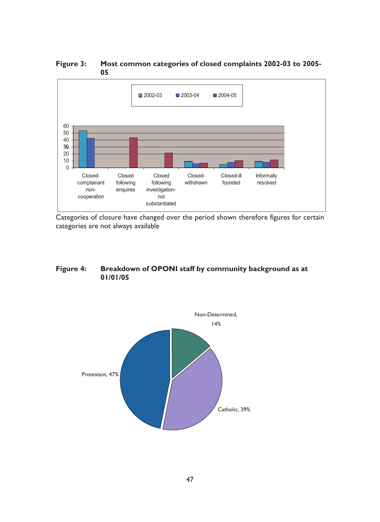■ 2002-03 ■ 2004-05 ■ 2003-04 60 50 40 30  $20$  $10$  $\overline{0}$ Closed Closed Closed-ill Informally Closed-Closedwithdrawn founded complainant following following resolved nonenquires investigationcooperation not substantiated

Figure 3: Most common categories of closed complaints 2002-03 to 2005-05

Categories of closure have changed over the period shown therefore figures for certain categories are not always available

#### Breakdown of OPONI staff by community background as at Figure 4: 01/01/05

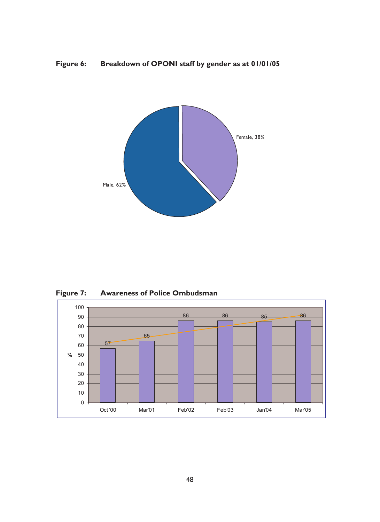



Figure 7: **Awareness of Police Ombudsman** 

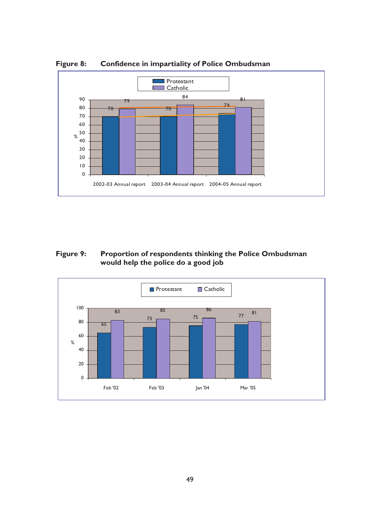

Figure 8: **Confidence in impartiality of Police Ombudsman** 

#### Figure 9: Proportion of respondents thinking the Police Ombudsman would help the police do a good job

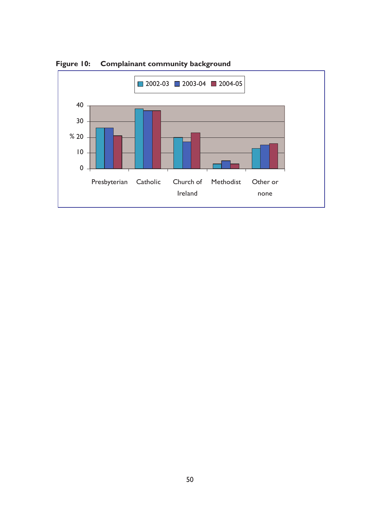

Figure 10: Complainant community background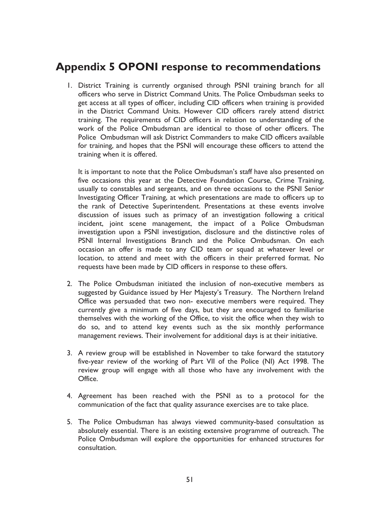### **Appendix 5 OPONI response to recommendations**

1. District Training is currently organised through PSNI training branch for all officers who serve in District Command Units. The Police Ombudsman seeks to get access at all types of officer, including CID officers when training is provided in the District Command Units. However CID officers rarely attend district training. The requirements of CID officers in relation to understanding of the work of the Police Ombudsman are identical to those of other officers. The Police Ombudsman will ask District Commanders to make CID officers available for training, and hopes that the PSNI will encourage these officers to attend the training when it is offered.

It is important to note that the Police Ombudsman's staff have also presented on five occasions this year at the Detective Foundation Course, Crime Training, usually to constables and sergeants, and on three occasions to the PSNI Senior Investigating Officer Training, at which presentations are made to officers up to the rank of Detective Superintendent. Presentations at these events involve discussion of issues such as primacy of an investigation following a critical incident, joint scene management, the impact of a Police Ombudsman investigation upon a PSNI investigation, disclosure and the distinctive roles of PSNI Internal Investigations Branch and the Police Ombudsman. On each occasion an offer is made to any CID team or squad at whatever level or location, to attend and meet with the officers in their preferred format. No requests have been made by CID officers in response to these offers.

- 2. The Police Ombudsman initiated the inclusion of non-executive members as suggested by Guidance issued by Her Majesty's Treasury. The Northern Ireland Office was persuaded that two non- executive members were required. They currently give a minimum of five days, but they are encouraged to familiarise themselves with the working of the Office, to visit the office when they wish to do so, and to attend key events such as the six monthly performance management reviews. Their involvement for additional days is at their initiative.
- 3. A review group will be established in November to take forward the statutory five-year review of the working of Part VII of the Police (NI) Act 1998. The review group will engage with all those who have any involvement with the Office.
- 4. Agreement has been reached with the PSNI as to a protocol for the communication of the fact that quality assurance exercises are to take place.
- 5. The Police Ombudsman has always viewed community-based consultation as absolutely essential. There is an existing extensive programme of outreach. The Police Ombudsman will explore the opportunities for enhanced structures for consultation.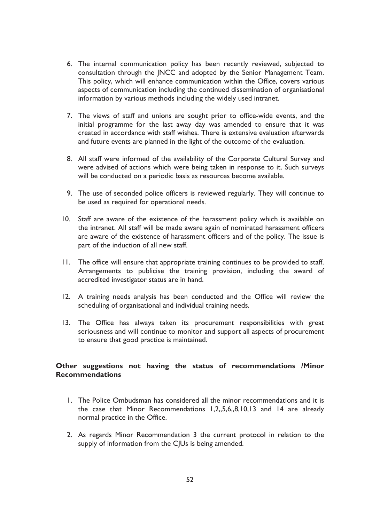- 6. The internal communication policy has been recently reviewed, subjected to consultation through the JNCC and adopted by the Senior Management Team. This policy, which will enhance communication within the Office, covers various aspects of communication including the continued dissemination of organisational information by various methods including the widely used intranet.
- 7. The views of staff and unions are sought prior to office-wide events, and the initial programme for the last away day was amended to ensure that it was created in accordance with staff wishes. There is extensive evaluation afterwards and future events are planned in the light of the outcome of the evaluation.
- 8. All staff were informed of the availability of the Corporate Cultural Survey and were advised of actions which were being taken in response to it. Such surveys will be conducted on a periodic basis as resources become available.
- 9. The use of seconded police officers is reviewed regularly. They will continue to be used as required for operational needs.
- 10. Staff are aware of the existence of the harassment policy which is available on the intranet. All staff will be made aware again of nominated harassment officers are aware of the existence of harassment officers and of the policy. The issue is part of the induction of all new staff.
- 11. The office will ensure that appropriate training continues to be provided to staff. Arrangements to publicise the training provision, including the award of accredited investigator status are in hand.
- 12. A training needs analysis has been conducted and the Office will review the scheduling of organisational and individual training needs.
- 13. The Office has always taken its procurement responsibilities with great seriousness and will continue to monitor and support all aspects of procurement to ensure that good practice is maintained.

### Other suggestions not having the status of recommendations /Minor **Recommendations**

- L. The Police Ombudsman has considered all the minor recommendations and it is the case that Minor Recommendations 1,2,,5,6,,8,10,13 and 14 are already normal practice in the Office.
- 2. As regards Minor Recommendation 3 the current protocol in relation to the supply of information from the CJUs is being amended.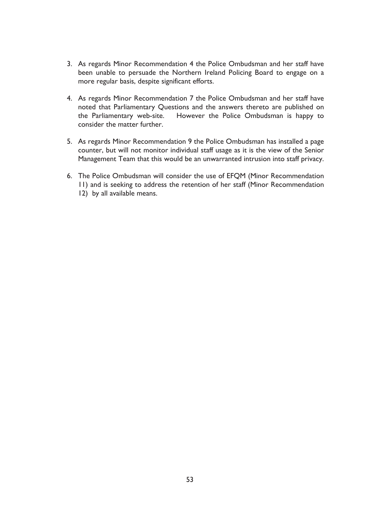- 3. As regards Minor Recommendation 4 the Police Ombudsman and her staff have been unable to persuade the Northern Ireland Policing Board to engage on a more regular basis, despite significant efforts.
- 4. As regards Minor Recommendation 7 the Police Ombudsman and her staff have noted that Parliamentary Questions and the answers thereto are published on the Parliamentary web-site. However the Police Ombudsman is happy to consider the matter further.
- 5. As regards Minor Recommendation 9 the Police Ombudsman has installed a page counter, but will not monitor individual staff usage as it is the view of the Senior Management Team that this would be an unwarranted intrusion into staff privacy.
- 6. The Police Ombudsman will consider the use of EFQM (Minor Recommendation 11) and is seeking to address the retention of her staff (Minor Recommendation 12) by all available means.